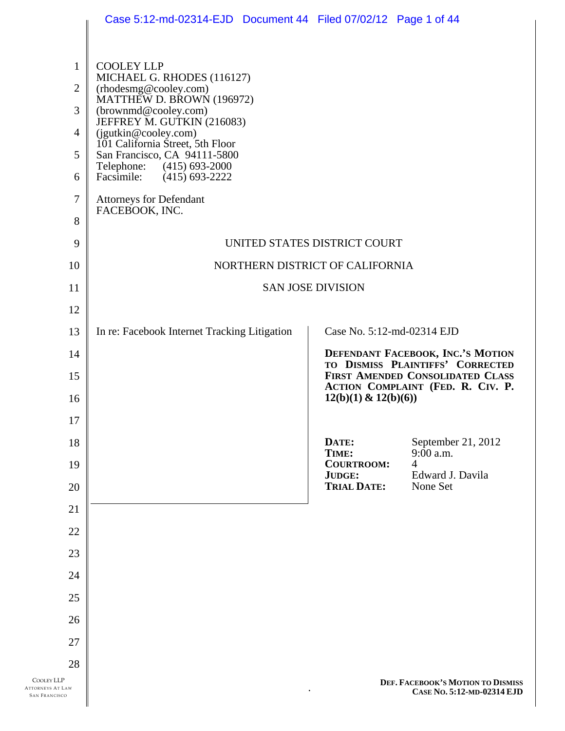|                                                               | Case 5:12-md-02314-EJD  Document 44  Filed 07/02/12  Page 1 of 44 |                                     |                                                                       |
|---------------------------------------------------------------|-------------------------------------------------------------------|-------------------------------------|-----------------------------------------------------------------------|
|                                                               |                                                                   |                                     |                                                                       |
| $\mathbf{1}$                                                  | <b>COOLEY LLP</b><br>MICHAEL G. RHODES (116127)                   |                                     |                                                                       |
| $\overline{2}$                                                | (rhodesmg@cooley.com)                                             |                                     |                                                                       |
| 3                                                             | MATTHEW D. BROWN (196972)<br>(brownmd@cooley.com)                 |                                     |                                                                       |
| $\overline{4}$                                                | JEFFREY M. GUTKIN (216083)<br>(jgutkin@cooley.com)                |                                     |                                                                       |
| 5                                                             | 101 California Street, 5th Floor<br>San Francisco, CA 94111-5800  |                                     |                                                                       |
| 6                                                             | Telephone:<br>$(415)$ 693-2000<br>Facsimile:<br>$(415)$ 693-2222  |                                     |                                                                       |
| $\overline{7}$                                                | Attorneys for Defendant<br>FACEBOOK, INC.                         |                                     |                                                                       |
| 8                                                             |                                                                   |                                     |                                                                       |
| 9                                                             |                                                                   | UNITED STATES DISTRICT COURT        |                                                                       |
| 10                                                            | NORTHERN DISTRICT OF CALIFORNIA                                   |                                     |                                                                       |
| 11                                                            |                                                                   | <b>SAN JOSE DIVISION</b>            |                                                                       |
| 12                                                            |                                                                   |                                     |                                                                       |
| 13                                                            | In re: Facebook Internet Tracking Litigation                      | Case No. 5:12-md-02314 EJD          |                                                                       |
| 14                                                            |                                                                   |                                     | DEFENDANT FACEBOOK, INC.'S MOTION<br>TO DISMISS PLAINTIFFS' CORRECTED |
| 15<br>16                                                      |                                                                   | $12(b)(1)$ & $12(b)(6)$             | FIRST AMENDED CONSOLIDATED CLASS<br>ACTION COMPLAINT (FED. R. CIV. P. |
| 17                                                            |                                                                   |                                     |                                                                       |
| 18                                                            |                                                                   | DATE:                               | September 21, 2012                                                    |
| 19                                                            |                                                                   | TIME:<br><b>COURTROOM:</b>          | $9:00$ a.m.<br>$\overline{4}$                                         |
| 20                                                            |                                                                   | <b>JUDGE:</b><br><b>TRIAL DATE:</b> | Edward J. Davila<br>None Set                                          |
| 21                                                            |                                                                   |                                     |                                                                       |
| 22                                                            |                                                                   |                                     |                                                                       |
| 23                                                            |                                                                   |                                     |                                                                       |
| 24                                                            |                                                                   |                                     |                                                                       |
| 25                                                            |                                                                   |                                     |                                                                       |
| 26                                                            |                                                                   |                                     |                                                                       |
| 27                                                            |                                                                   |                                     |                                                                       |
| 28                                                            |                                                                   |                                     |                                                                       |
| COOLEY LLP<br><b>ATTORNEYS AT LAW</b><br><b>SAN FRANCISCO</b> |                                                                   |                                     | DEF. FACEBOOK'S MOTION TO DISMISS<br>CASE No. 5:12-MD-02314 EJD       |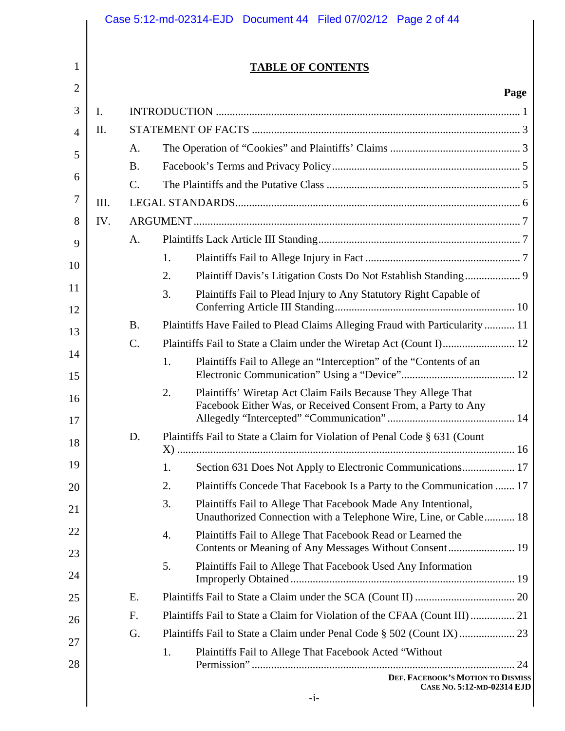|                |                          |                 | Case 5:12-md-02314-EJD  Document 44  Filed 07/02/12  Page 2 of 44                                                                       |  |  |
|----------------|--------------------------|-----------------|-----------------------------------------------------------------------------------------------------------------------------------------|--|--|
|                |                          |                 |                                                                                                                                         |  |  |
| 1              | <b>TABLE OF CONTENTS</b> |                 |                                                                                                                                         |  |  |
| $\overline{2}$ |                          |                 | Page                                                                                                                                    |  |  |
| 3              | Ι.                       |                 |                                                                                                                                         |  |  |
| $\overline{A}$ | Π.                       |                 |                                                                                                                                         |  |  |
| 5              |                          | A.              |                                                                                                                                         |  |  |
|                |                          | <b>B.</b>       |                                                                                                                                         |  |  |
| 6              |                          | $\mathcal{C}$ . |                                                                                                                                         |  |  |
| 7              | Ш.                       |                 |                                                                                                                                         |  |  |
| 8              | IV.                      |                 |                                                                                                                                         |  |  |
| 9              |                          | A.              |                                                                                                                                         |  |  |
| 10             |                          |                 | 1.                                                                                                                                      |  |  |
| 11             |                          |                 | Plaintiff Davis's Litigation Costs Do Not Establish Standing 9<br>2.                                                                    |  |  |
| 12             |                          |                 | 3.<br>Plaintiffs Fail to Plead Injury to Any Statutory Right Capable of                                                                 |  |  |
| 13             |                          | <b>B.</b>       | Plaintiffs Have Failed to Plead Claims Alleging Fraud with Particularity  11                                                            |  |  |
|                |                          | $C$ .           |                                                                                                                                         |  |  |
| 14<br>15       |                          |                 | Plaintiffs Fail to Allege an "Interception" of the "Contents of an<br>1.                                                                |  |  |
| 16<br>17       |                          |                 | Plaintiffs' Wiretap Act Claim Fails Because They Allege That<br>2.<br>Facebook Either Was, or Received Consent From, a Party to Any     |  |  |
| 18             |                          | D.              | Plaintiffs Fail to State a Claim for Violation of Penal Code § 631 (Count                                                               |  |  |
| 19             |                          |                 | Section 631 Does Not Apply to Electronic Communications 17<br>1.                                                                        |  |  |
| 20             |                          |                 | Plaintiffs Concede That Facebook Is a Party to the Communication  17<br>2.                                                              |  |  |
| 21             |                          |                 | 3.<br>Plaintiffs Fail to Allege That Facebook Made Any Intentional,<br>Unauthorized Connection with a Telephone Wire, Line, or Cable 18 |  |  |
| 22             |                          |                 | Plaintiffs Fail to Allege That Facebook Read or Learned the<br>4.                                                                       |  |  |
| 23<br>24       |                          |                 | Plaintiffs Fail to Allege That Facebook Used Any Information<br>5.                                                                      |  |  |
| 25             |                          | Ε.              |                                                                                                                                         |  |  |
| 26             |                          | F.              |                                                                                                                                         |  |  |
|                |                          | G.              |                                                                                                                                         |  |  |
| 27             |                          |                 | 1.<br>Plaintiffs Fail to Allege That Facebook Acted "Without                                                                            |  |  |
| 28             |                          |                 | DEF. FACEBOOK'S MOTION TO DISMISS<br>CASE NO. 5:12-MD-02314 EJD                                                                         |  |  |
|                |                          |                 | $-i-$                                                                                                                                   |  |  |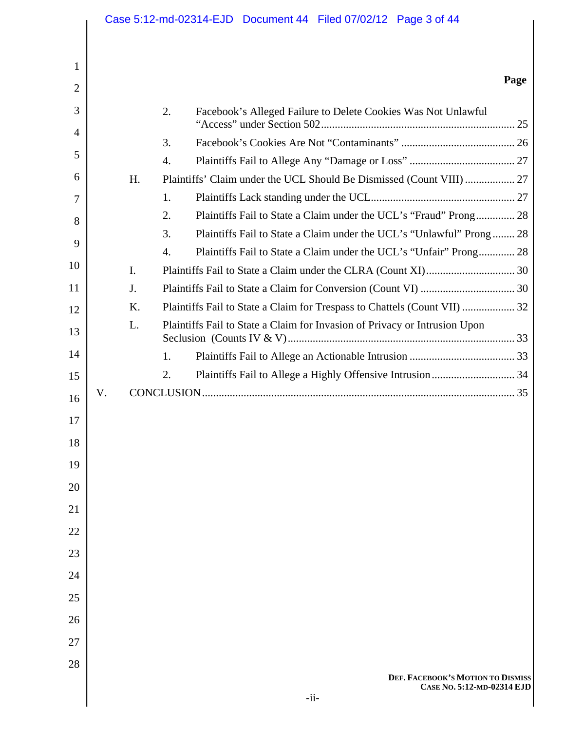|                |    |          | Case 5:12-md-02314-EJD  Document 44  Filed 07/02/12  Page 3 of 44          |      |
|----------------|----|----------|----------------------------------------------------------------------------|------|
|                |    |          |                                                                            |      |
| 1              |    |          |                                                                            |      |
| $\overline{2}$ |    |          |                                                                            | Page |
| 3              |    |          | 2.<br>Facebook's Alleged Failure to Delete Cookies Was Not Unlawful        |      |
| $\overline{4}$ |    |          |                                                                            |      |
| 5              |    |          | 3.                                                                         |      |
| 6              |    |          | 4.                                                                         |      |
|                |    | H.       |                                                                            |      |
| 7              |    |          | 1.                                                                         |      |
| 8              |    |          | Plaintiffs Fail to State a Claim under the UCL's "Fraud" Prong 28<br>2.    |      |
| 9              |    |          | 3.<br>Plaintiffs Fail to State a Claim under the UCL's "Unlawful" Prong 28 |      |
| 10             |    |          | Plaintiffs Fail to State a Claim under the UCL's "Unfair" Prong 28<br>4.   |      |
| 11             |    | I.<br>J. |                                                                            |      |
|                |    | K.       |                                                                            |      |
| 12             |    | L.       | Plaintiffs Fail to State a Claim for Invasion of Privacy or Intrusion Upon |      |
| 13             |    |          |                                                                            |      |
| 14             |    |          | 1.                                                                         |      |
| 15             |    |          | 2.                                                                         |      |
| 16             | V. |          |                                                                            |      |
|                |    |          |                                                                            |      |
| 17             |    |          |                                                                            |      |
| 18             |    |          |                                                                            |      |
| 19             |    |          |                                                                            |      |
| 20             |    |          |                                                                            |      |
| 21             |    |          |                                                                            |      |
| 22             |    |          |                                                                            |      |
| 23             |    |          |                                                                            |      |
| 24             |    |          |                                                                            |      |
| 25             |    |          |                                                                            |      |
| 26             |    |          |                                                                            |      |
| 27             |    |          |                                                                            |      |
|                |    |          |                                                                            |      |
| 28             |    |          | DEF. FACEBOOK'S MOTION TO DISMISS                                          |      |
|                |    |          | CASE No. 5:12-MD-02314 EJD<br>$-i$ i-                                      |      |
|                |    |          |                                                                            |      |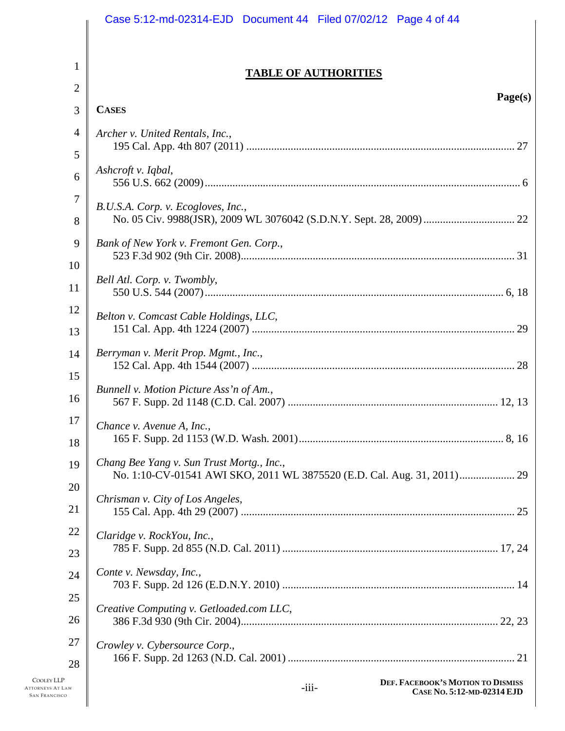|                | Case 5:12-md-02314-EJD  Document 44  Filed 07/02/12  Page 4 of 44          |
|----------------|----------------------------------------------------------------------------|
|                |                                                                            |
| $\mathbf{1}$   | <b>TABLE OF AUTHORITIES</b>                                                |
| $\overline{2}$ | Page(s)                                                                    |
| 3              | <b>CASES</b>                                                               |
| 4<br>5         | Archer v. United Rentals, Inc.,                                            |
| 6              | Ashcroft v. Iqbal,                                                         |
| 7<br>8         | B.U.S.A. Corp. v. Ecogloves, Inc.,                                         |
| 9<br>10        | Bank of New York v. Fremont Gen. Corp.,                                    |
| 11             | Bell Atl. Corp. v. Twombly,                                                |
| 12<br>13       | Belton v. Comcast Cable Holdings, LLC,                                     |
| 14<br>15       | Berryman v. Merit Prop. Mgmt., Inc.,                                       |
| 16             | Bunnell v. Motion Picture Ass'n of Am.,                                    |
| 17<br>18       | Chance v. Avenue A, Inc.,                                                  |
| 19<br>20       | Chang Bee Yang v. Sun Trust Mortg., Inc.,                                  |
| 21             | Chrisman v. City of Los Angeles,                                           |
| 22<br>23       | Claridge v. RockYou, Inc.,                                                 |
| 24             | Conte v. Newsday, Inc.,                                                    |
| 25<br>26       | Creative Computing v. Getloaded.com LLC,                                   |
| 27<br>28       | Crowley v. Cybersource Corp.,                                              |
| W              | DEF. FACEBOOK'S MOTION TO DISMISS<br>$-iii-$<br>CASE No. 5:12-MD-02314 EJD |

 $\mathsf{I}$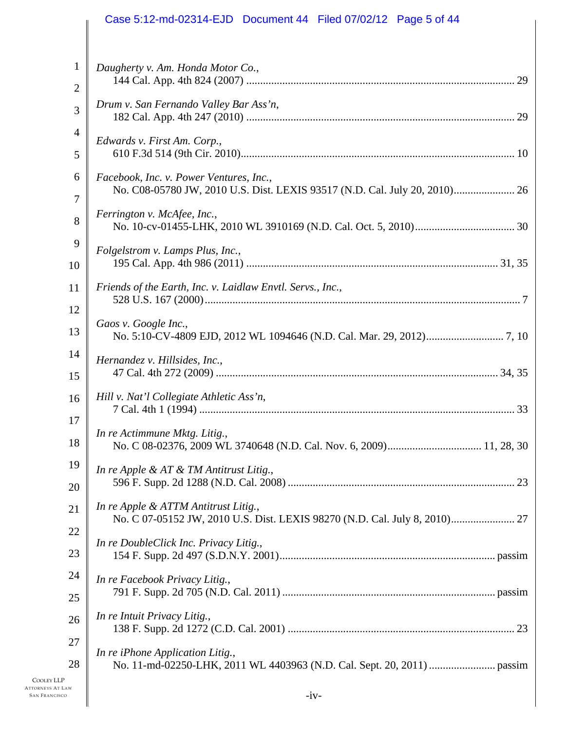|                | Case 5:12-md-02314-EJD  Document 44  Filed 07/02/12  Page 5 of 44                                                  |
|----------------|--------------------------------------------------------------------------------------------------------------------|
| $\mathbf{1}$   | Daugherty v. Am. Honda Motor Co.,                                                                                  |
| $\overline{2}$ |                                                                                                                    |
| 3              | Drum v. San Fernando Valley Bar Ass'n,                                                                             |
| 4              | Edwards v. First Am. Corp.,                                                                                        |
| 5              |                                                                                                                    |
| 6              | Facebook, Inc. v. Power Ventures, Inc.,                                                                            |
| 7              | No. C08-05780 JW, 2010 U.S. Dist. LEXIS 93517 (N.D. Cal. July 20, 2010) 26                                         |
| 8              | Ferrington v. McAfee, Inc.,                                                                                        |
| 9              | Folgelstrom v. Lamps Plus, Inc.,                                                                                   |
| 10             |                                                                                                                    |
| 11             | Friends of the Earth, Inc. v. Laidlaw Envtl. Servs., Inc.,                                                         |
| 12             | Gaos v. Google Inc.,                                                                                               |
| 13             |                                                                                                                    |
| 14             | Hernandez v. Hillsides, Inc.,                                                                                      |
| 15             |                                                                                                                    |
| 16             | Hill v. Nat'l Collegiate Athletic Ass'n,                                                                           |
| 17             | In re Actimmune Mktg. Litig.,                                                                                      |
| 18             |                                                                                                                    |
| 19             | In re Apple & AT & TM Antitrust Litig.,                                                                            |
| 20             |                                                                                                                    |
| 21             | In re Apple & ATTM Antitrust Litig.,<br>No. C 07-05152 JW, 2010 U.S. Dist. LEXIS 98270 (N.D. Cal. July 8, 2010) 27 |
| 22             | In re DoubleClick Inc. Privacy Litig.,                                                                             |
| 23             |                                                                                                                    |
| 24             | In re Facebook Privacy Litig.,                                                                                     |
| 25             |                                                                                                                    |
| 26             | In re Intuit Privacy Litig.,                                                                                       |
| 27             | In re iPhone Application Litig.,                                                                                   |
| 28             |                                                                                                                    |
| W              |                                                                                                                    |

I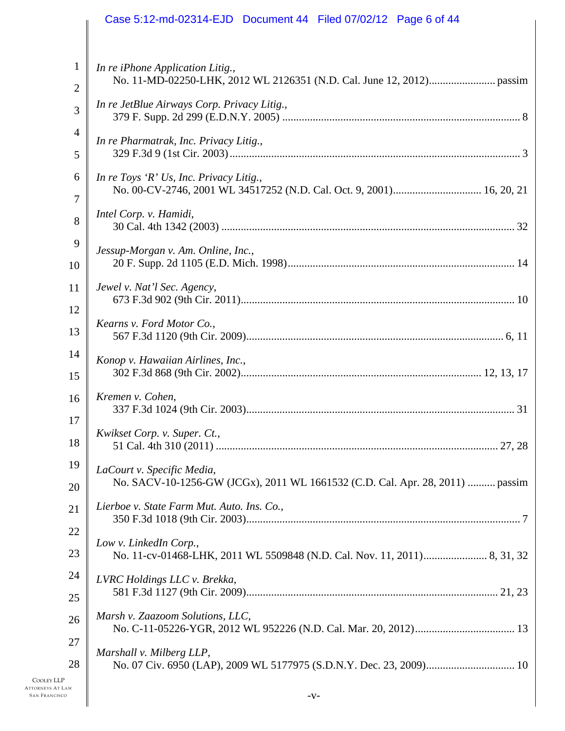|                | Case 5:12-md-02314-EJD  Document 44  Filed 07/02/12  Page 6 of 44             |
|----------------|-------------------------------------------------------------------------------|
| $\mathbf{1}$   | In re iPhone Application Litig.,                                              |
| 2              |                                                                               |
| 3              | In re JetBlue Airways Corp. Privacy Litig.,                                   |
| $\overline{4}$ | In re Pharmatrak, Inc. Privacy Litig.,                                        |
| 5              |                                                                               |
| 6              | In re Toys 'R' Us, Inc. Privacy Litig.,                                       |
| 7              |                                                                               |
| 8              | Intel Corp. v. Hamidi,                                                        |
| 9              | Jessup-Morgan v. Am. Online, Inc.,                                            |
| 10             |                                                                               |
| 11             | Jewel v. Nat'l Sec. Agency,                                                   |
| 12             |                                                                               |
| 13             | Kearns v. Ford Motor Co.,                                                     |
| 14             | Konop v. Hawaiian Airlines, Inc.,                                             |
| 15             |                                                                               |
| 16             | Kremen v. Cohen,                                                              |
| 17             |                                                                               |
| 18             | Kwikset Corp. v. Super. Ct.,                                                  |
| 19             | LaCourt v. Specific Media,                                                    |
| 20             | No. SACV-10-1256-GW (JCGx), 2011 WL 1661532 (C.D. Cal. Apr. 28, 2011)  passim |
| 21             | Lierboe v. State Farm Mut. Auto. Ins. Co.,                                    |
| 22             | Low v. LinkedIn Corp.,                                                        |
| 23             |                                                                               |
| 24             | LVRC Holdings LLC v. Brekka,                                                  |
| 25             |                                                                               |
| 26             | Marsh v. Zaazoom Solutions, LLC,                                              |
| 27             | Marshall v. Milberg LLP,                                                      |
| 28             |                                                                               |
|                |                                                                               |

I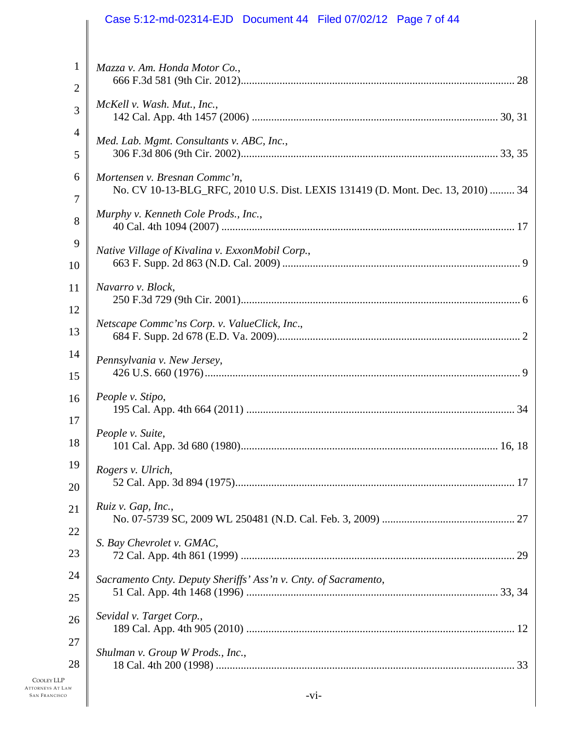|                     | Case 5:12-md-02314-EJD  Document 44  Filed 07/02/12  Page 7 of 44                                                |
|---------------------|------------------------------------------------------------------------------------------------------------------|
| $\mathbf{1}$        | Mazza v. Am. Honda Motor Co.,                                                                                    |
| $\overline{2}$      |                                                                                                                  |
| 3                   | McKell v. Wash. Mut., Inc.,                                                                                      |
| $\overline{4}$<br>5 | Med. Lab. Mgmt. Consultants v. ABC, Inc.,                                                                        |
| 6                   | Mortensen v. Bresnan Commc'n,<br>No. CV 10-13-BLG_RFC, 2010 U.S. Dist. LEXIS 131419 (D. Mont. Dec. 13, 2010)  34 |
| 7<br>8              | Murphy v. Kenneth Cole Prods., Inc.,                                                                             |
|                     |                                                                                                                  |
| 9<br>10             | Native Village of Kivalina v. ExxonMobil Corp.,                                                                  |
| 11                  | Navarro v. Block,                                                                                                |
| 12                  |                                                                                                                  |
| 13                  | Netscape Commc'ns Corp. v. ValueClick, Inc.,                                                                     |
| 14<br>15            | Pennsylvania v. New Jersey,                                                                                      |
| 16<br>17            | People v. Stipo,                                                                                                 |
| 18                  | People v. Suite,                                                                                                 |
| 19                  | Rogers v. Ulrich,                                                                                                |
| 20                  |                                                                                                                  |
| 21                  | Ruiz v. Gap, Inc.,                                                                                               |
| 22<br>23            | S. Bay Chevrolet v. GMAC,                                                                                        |
| 24                  | Sacramento Cnty. Deputy Sheriffs' Ass'n v. Cnty. of Sacramento,                                                  |
| 25<br>26            | Sevidal v. Target Corp.,                                                                                         |
| 27                  |                                                                                                                  |
| 28                  | Shulman v. Group W Prods., Inc.,                                                                                 |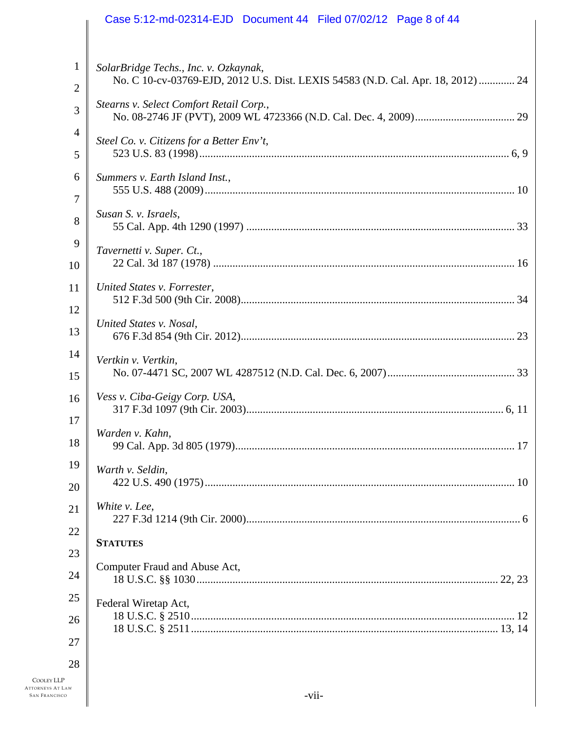|                | Case 5:12-md-02314-EJD  Document 44  Filed 07/02/12  Page 8 of 44                |
|----------------|----------------------------------------------------------------------------------|
| $\mathbf{1}$   | SolarBridge Techs., Inc. v. Ozkaynak,                                            |
| $\overline{2}$ | No. C 10-cv-03769-EJD, 2012 U.S. Dist. LEXIS 54583 (N.D. Cal. Apr. 18, 2012)  24 |
| 3              | Stearns v. Select Comfort Retail Corp.,                                          |
| 4              | Steel Co. v. Citizens for a Better Env't,                                        |
| 5              |                                                                                  |
| 6              | Summers v. Earth Island Inst.,                                                   |
| 7<br>8         | Susan S. v. Israels,                                                             |
| 9              |                                                                                  |
| 10             | Tavernetti v. Super. Ct.,                                                        |
| 11             | United States v. Forrester,                                                      |
| 12             |                                                                                  |
| 13             | United States v. Nosal,                                                          |
| 14             | Vertkin v. Vertkin,                                                              |
| 15             |                                                                                  |
| 16             | Vess v. Ciba-Geigy Corp. USA,                                                    |
| 17             | Warden v. Kahn,                                                                  |
| 18             |                                                                                  |
| 19             | Warth v. Seldin,                                                                 |
| 20             |                                                                                  |
| 21             | White v. Lee,                                                                    |
| 22             |                                                                                  |
| 23             | <b>STATUTES</b>                                                                  |
| 24             | Computer Fraud and Abuse Act,                                                    |
| 25             | Federal Wiretap Act,                                                             |
| 26             |                                                                                  |
| 27             |                                                                                  |
| 28             |                                                                                  |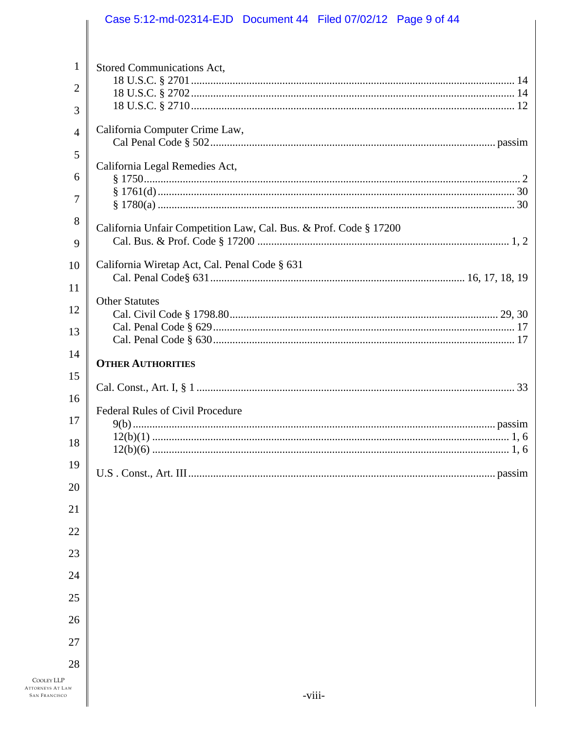|                | Case 5:12-md-02314-EJD  Document 44  Filed 07/02/12  Page 9 of 44 |
|----------------|-------------------------------------------------------------------|
| $\mathbf{1}$   | Stored Communications Act,                                        |
| $\overline{2}$ |                                                                   |
|                |                                                                   |
| 3              |                                                                   |
| $\overline{4}$ | California Computer Crime Law,                                    |
|                |                                                                   |
| 5              | California Legal Remedies Act,                                    |
| 6              |                                                                   |
| 7              |                                                                   |
|                |                                                                   |
| 8              | California Unfair Competition Law, Cal. Bus. & Prof. Code § 17200 |
| 9              |                                                                   |
| 10             | California Wiretap Act, Cal. Penal Code § 631                     |
|                |                                                                   |
| 11             |                                                                   |
| 12             | <b>Other Statutes</b>                                             |
|                |                                                                   |
| 13             |                                                                   |
| 14             |                                                                   |
| 15             | <b>OTHER AUTHORITIES</b>                                          |
|                |                                                                   |
| 16             | Federal Rules of Civil Procedure                                  |
| 17             |                                                                   |
|                |                                                                   |
| 18             |                                                                   |
| 19             |                                                                   |
| 20             |                                                                   |
|                |                                                                   |
| 21             |                                                                   |
| 22             |                                                                   |
| 23             |                                                                   |
|                |                                                                   |
| 24             |                                                                   |
| 25             |                                                                   |
| 26             |                                                                   |
| 27             |                                                                   |
| 28             |                                                                   |
|                |                                                                   |
| W              | -viii-                                                            |
|                |                                                                   |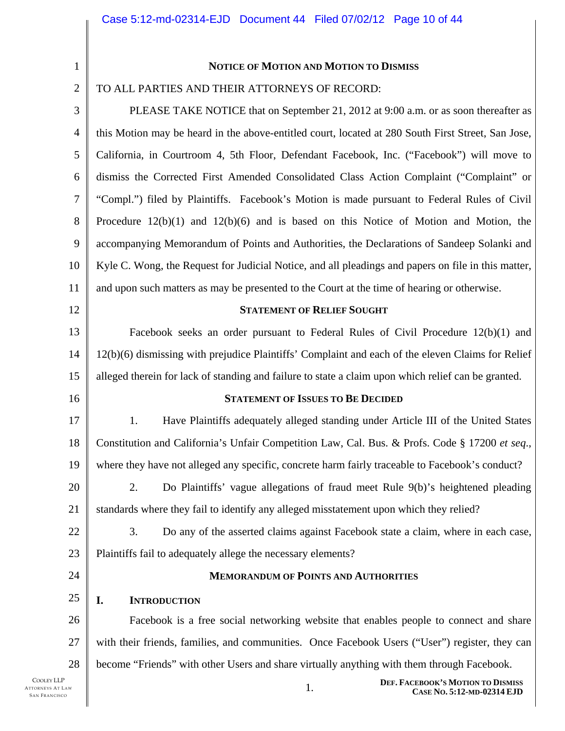| $\mathbf{1}$   | NOTICE OF MOTION AND MOTION TO DISMISS                                                              |  |
|----------------|-----------------------------------------------------------------------------------------------------|--|
| $\overline{2}$ | TO ALL PARTIES AND THEIR ATTORNEYS OF RECORD:                                                       |  |
| 3              | PLEASE TAKE NOTICE that on September 21, 2012 at 9:00 a.m. or as soon thereafter as                 |  |
| $\overline{4}$ | this Motion may be heard in the above-entitled court, located at 280 South First Street, San Jose,  |  |
| 5              | California, in Courtroom 4, 5th Floor, Defendant Facebook, Inc. ("Facebook") will move to           |  |
| 6              | dismiss the Corrected First Amended Consolidated Class Action Complaint ("Complaint" or             |  |
| 7              | "Compl.") filed by Plaintiffs. Facebook's Motion is made pursuant to Federal Rules of Civil         |  |
| 8              | Procedure $12(b)(1)$ and $12(b)(6)$ and is based on this Notice of Motion and Motion, the           |  |
| 9              | accompanying Memorandum of Points and Authorities, the Declarations of Sandeep Solanki and          |  |
| 10             | Kyle C. Wong, the Request for Judicial Notice, and all pleadings and papers on file in this matter, |  |
| 11             | and upon such matters as may be presented to the Court at the time of hearing or otherwise.         |  |
| 12             | <b>STATEMENT OF RELIEF SOUGHT</b>                                                                   |  |
| 13             | Facebook seeks an order pursuant to Federal Rules of Civil Procedure $12(b)(1)$ and                 |  |
| 14             | 12(b)(6) dismissing with prejudice Plaintiffs' Complaint and each of the eleven Claims for Relief   |  |
| 15             | alleged therein for lack of standing and failure to state a claim upon which relief can be granted. |  |
| 16             | <b>STATEMENT OF ISSUES TO BE DECIDED</b>                                                            |  |
| 17             | 1.<br>Have Plaintiffs adequately alleged standing under Article III of the United States            |  |
| 18             | Constitution and California's Unfair Competition Law, Cal. Bus. & Profs. Code § 17200 et seq.,      |  |
| 19             | where they have not alleged any specific, concrete harm fairly traceable to Facebook's conduct?     |  |
| 20             | Do Plaintiffs' vague allegations of fraud meet Rule 9(b)'s heightened pleading<br>2.                |  |
| 21             | standards where they fail to identify any alleged misstatement upon which they relied?              |  |
| 22             | 3.<br>Do any of the asserted claims against Facebook state a claim, where in each case,             |  |
| 23             | Plaintiffs fail to adequately allege the necessary elements?                                        |  |
| 24             | <b>MEMORANDUM OF POINTS AND AUTHORITIES</b>                                                         |  |
| 25             | I.<br><b>INTRODUCTION</b>                                                                           |  |
| 26             | Facebook is a free social networking website that enables people to connect and share               |  |
| 27             | with their friends, families, and communities. Once Facebook Users ("User") register, they can      |  |
| 28             | become "Friends" with other Users and share virtually anything with them through Facebook.          |  |
| LAW<br>CO      | DEF. FACEBOOK'S MOTION TO DISMISS<br>1.<br>CASE No. 5:12-MD-02314 EJD                               |  |
|                |                                                                                                     |  |

 $\overline{\phantom{a}}$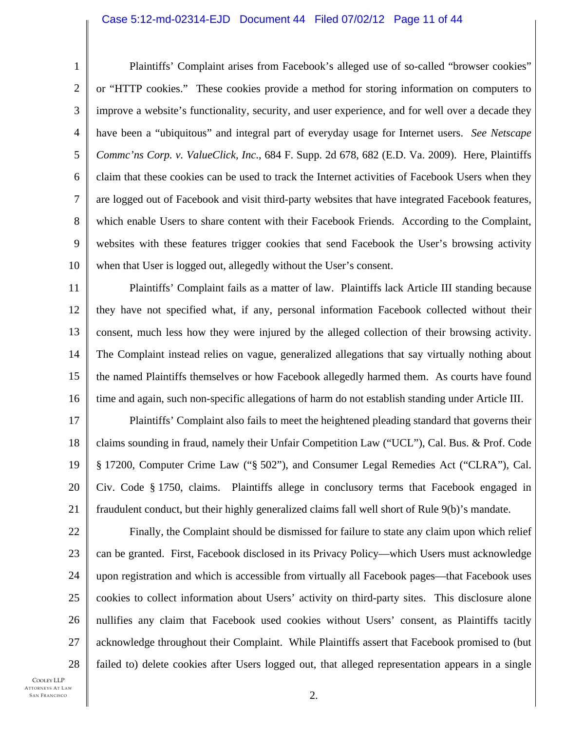#### Case 5:12-md-02314-EJD Document 44 Filed 07/02/12 Page 11 of 44

1 2 3 4 5 6 7 8 9 10 Plaintiffs' Complaint arises from Facebook's alleged use of so-called "browser cookies" or "HTTP cookies." These cookies provide a method for storing information on computers to improve a website's functionality, security, and user experience, and for well over a decade they have been a "ubiquitous" and integral part of everyday usage for Internet users. *See Netscape Commc'ns Corp. v. ValueClick, Inc*., 684 F. Supp. 2d 678, 682 (E.D. Va. 2009). Here, Plaintiffs claim that these cookies can be used to track the Internet activities of Facebook Users when they are logged out of Facebook and visit third-party websites that have integrated Facebook features, which enable Users to share content with their Facebook Friends. According to the Complaint, websites with these features trigger cookies that send Facebook the User's browsing activity when that User is logged out, allegedly without the User's consent.

11 12 13 14 15 16 Plaintiffs' Complaint fails as a matter of law. Plaintiffs lack Article III standing because they have not specified what, if any, personal information Facebook collected without their consent, much less how they were injured by the alleged collection of their browsing activity. The Complaint instead relies on vague, generalized allegations that say virtually nothing about the named Plaintiffs themselves or how Facebook allegedly harmed them. As courts have found time and again, such non-specific allegations of harm do not establish standing under Article III.

17 18 19 20 21 Plaintiffs' Complaint also fails to meet the heightened pleading standard that governs their claims sounding in fraud, namely their Unfair Competition Law ("UCL"), Cal. Bus. & Prof. Code § 17200, Computer Crime Law ("§ 502"), and Consumer Legal Remedies Act ("CLRA"), Cal. Civ. Code § 1750, claims. Plaintiffs allege in conclusory terms that Facebook engaged in fraudulent conduct, but their highly generalized claims fall well short of Rule 9(b)'s mandate.

22 23 24 25 26 27 28 Finally, the Complaint should be dismissed for failure to state any claim upon which relief can be granted. First, Facebook disclosed in its Privacy Policy—which Users must acknowledge upon registration and which is accessible from virtually all Facebook pages—that Facebook uses cookies to collect information about Users' activity on third-party sites. This disclosure alone nullifies any claim that Facebook used cookies without Users' consent, as Plaintiffs tacitly acknowledge throughout their Complaint. While Plaintiffs assert that Facebook promised to (but failed to) delete cookies after Users logged out, that alleged representation appears in a single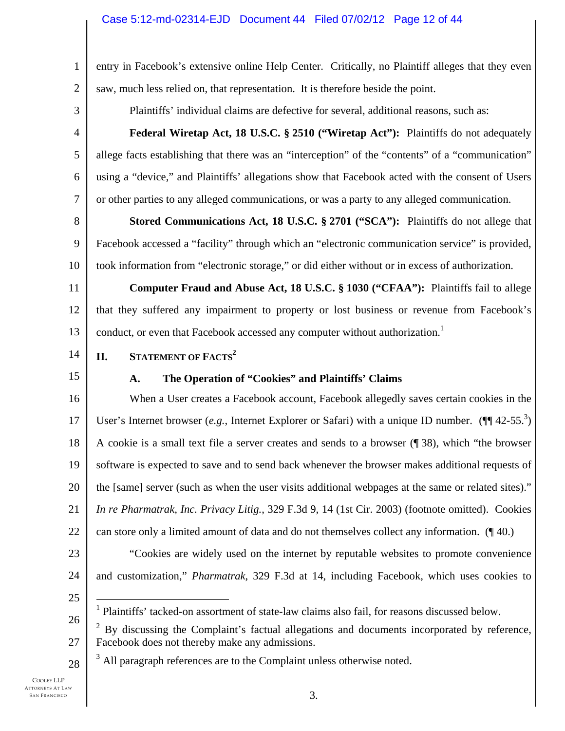1 2 entry in Facebook's extensive online Help Center. Critically, no Plaintiff alleges that they even saw, much less relied on, that representation. It is therefore beside the point.

3

4

5

6

7

Plaintiffs' individual claims are defective for several, additional reasons, such as:

**Federal Wiretap Act, 18 U.S.C. § 2510 ("Wiretap Act"):** Plaintiffs do not adequately allege facts establishing that there was an "interception" of the "contents" of a "communication" using a "device," and Plaintiffs' allegations show that Facebook acted with the consent of Users or other parties to any alleged communications, or was a party to any alleged communication.

8 9 10 **Stored Communications Act, 18 U.S.C. § 2701 ("SCA"):** Plaintiffs do not allege that Facebook accessed a "facility" through which an "electronic communication service" is provided, took information from "electronic storage," or did either without or in excess of authorization.

11 12 13 **Computer Fraud and Abuse Act, 18 U.S.C. § 1030 ("CFAA"):** Plaintiffs fail to allege that they suffered any impairment to property or lost business or revenue from Facebook's conduct, or even that Facebook accessed any computer without authorization.<sup>1</sup>

14

15

# **II. STATEMENT OF FACTS<sup>2</sup>**

# **A. The Operation of "Cookies" and Plaintiffs' Claims**

16 17 18 19 20 21 22 23 24 When a User creates a Facebook account, Facebook allegedly saves certain cookies in the User's Internet browser (*e.g.*, Internet Explorer or Safari) with a unique ID number. ( $\P$  $[$ 42-55.<sup>3</sup>) A cookie is a small text file a server creates and sends to a browser (¶ 38), which "the browser software is expected to save and to send back whenever the browser makes additional requests of the [same] server (such as when the user visits additional webpages at the same or related sites)." *In re Pharmatrak, Inc. Privacy Litig.*, 329 F.3d 9, 14 (1st Cir. 2003) (footnote omitted). Cookies can store only a limited amount of data and do not themselves collect any information. (¶ 40.) "Cookies are widely used on the internet by reputable websites to promote convenience and customization," *Pharmatrak*, 329 F.3d at 14, including Facebook, which uses cookies to

25

 $\overline{a}$ 

28

 $3$  All paragraph references are to the Complaint unless otherwise noted.

<sup>&</sup>lt;sup>1</sup> Plaintiffs' tacked-on assortment of state-law claims also fail, for reasons discussed below.

<sup>26</sup>  27  $2$  By discussing the Complaint's factual allegations and documents incorporated by reference, Facebook does not thereby make any admissions.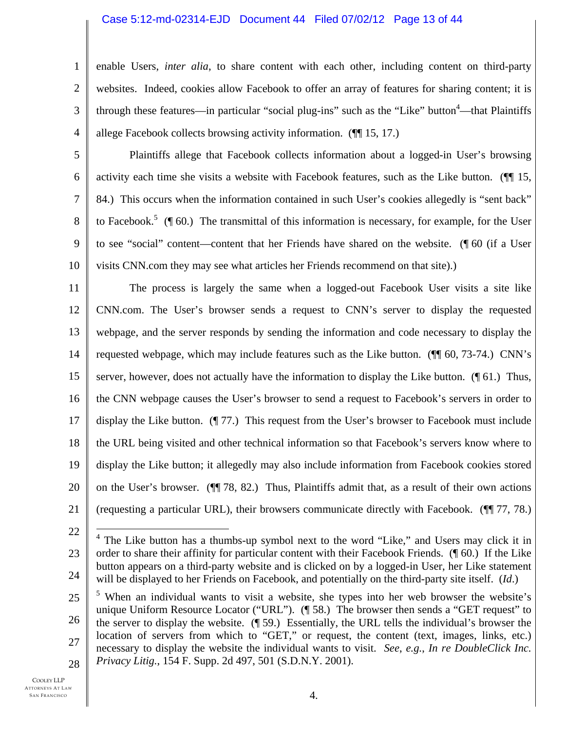#### Case 5:12-md-02314-EJD Document 44 Filed 07/02/12 Page 13 of 44

3 enable Users, *inter alia*, to share content with each other, including content on third-party websites. Indeed, cookies allow Facebook to offer an array of features for sharing content; it is through these features—in particular "social plug-ins" such as the "Like" button<sup>4</sup>—that Plaintiffs allege Facebook collects browsing activity information. (¶¶ 15, 17.)

5 6 7 8 9 10 Plaintiffs allege that Facebook collects information about a logged-in User's browsing activity each time she visits a website with Facebook features, such as the Like button. (¶¶ 15, 84.) This occurs when the information contained in such User's cookies allegedly is "sent back" to Facebook.<sup>5</sup> ( $\llbracket 60$ .) The transmittal of this information is necessary, for example, for the User to see "social" content—content that her Friends have shared on the website. (¶ 60 (if a User visits CNN.com they may see what articles her Friends recommend on that site).)

11 12 13 14 15 16 17 18 19 20 21 The process is largely the same when a logged-out Facebook User visits a site like CNN.com. The User's browser sends a request to CNN's server to display the requested webpage, and the server responds by sending the information and code necessary to display the requested webpage, which may include features such as the Like button. (¶¶ 60, 73-74.) CNN's server, however, does not actually have the information to display the Like button. (¶ 61.) Thus, the CNN webpage causes the User's browser to send a request to Facebook's servers in order to display the Like button. (¶ 77.) This request from the User's browser to Facebook must include the URL being visited and other technical information so that Facebook's servers know where to display the Like button; it allegedly may also include information from Facebook cookies stored on the User's browser. (¶¶ 78, 82.) Thus, Plaintiffs admit that, as a result of their own actions (requesting a particular URL), their browsers communicate directly with Facebook. (¶¶ 77, 78.)

22

 $\overline{a}$ 

1

2

4

4.

<sup>23</sup>  24 <sup>4</sup> The Like button has a thumbs-up symbol next to the word "Like," and Users may click it in order to share their affinity for particular content with their Facebook Friends. (¶ 60.) If the Like button appears on a third-party website and is clicked on by a logged-in User, her Like statement will be displayed to her Friends on Facebook, and potentially on the third-party site itself. (*Id*.)

<sup>25</sup>  26 27 28  $<sup>5</sup>$  When an individual wants to visit a website, she types into her web browser the website's</sup> unique Uniform Resource Locator ("URL"). (¶ 58.) The browser then sends a "GET request" to the server to display the website. (¶ 59.) Essentially, the URL tells the individual's browser the location of servers from which to "GET," or request, the content (text, images, links, etc.) necessary to display the website the individual wants to visit. *See*, *e.g.*, *In re DoubleClick Inc. Privacy Litig.*, 154 F. Supp. 2d 497, 501 (S.D.N.Y. 2001).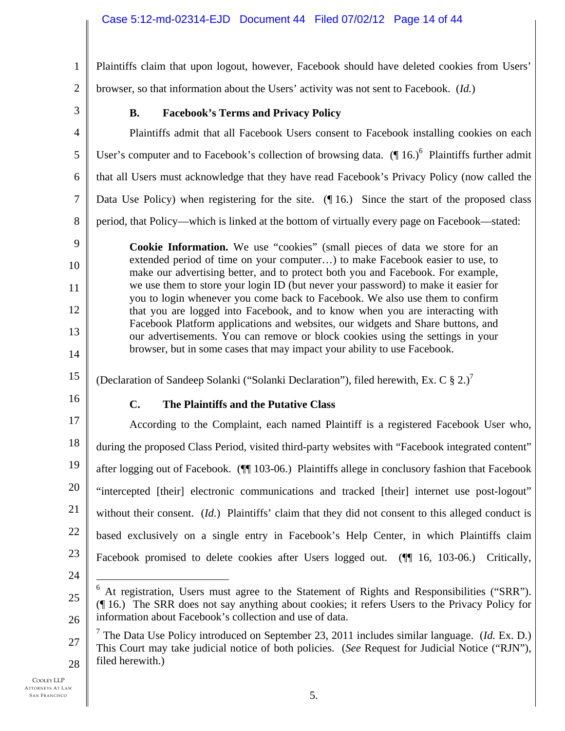1 2 Plaintiffs claim that upon logout, however, Facebook should have deleted cookies from Users' browser, so that information about the Users' activity was not sent to Facebook. (*Id.*)

3

## **B. Facebook's Terms and Privacy Policy**

4 5 6 7 8 Plaintiffs admit that all Facebook Users consent to Facebook installing cookies on each User's computer and to Facebook's collection of browsing data.  $(\P 16.)^6$  Plaintiffs further admit that all Users must acknowledge that they have read Facebook's Privacy Policy (now called the Data Use Policy) when registering for the site. (¶ 16.) Since the start of the proposed class period, that Policy—which is linked at the bottom of virtually every page on Facebook—stated:

**Cookie Information.** We use "cookies" (small pieces of data we store for an extended period of time on your computer…) to make Facebook easier to use, to make our advertising better, and to protect both you and Facebook. For example, we use them to store your login ID (but never your password) to make it easier for you to login whenever you come back to Facebook. We also use them to confirm that you are logged into Facebook, and to know when you are interacting with Facebook Platform applications and websites, our widgets and Share buttons, and our advertisements. You can remove or block cookies using the settings in your browser, but in some cases that may impact your ability to use Facebook.

(Declaration of Sandeep Solanki ("Solanki Declaration"), filed herewith, Ex. C  $\S 2$ .)<sup>7</sup>

15

14

9

10

11

12

13

16

## **C. The Plaintiffs and the Putative Class**

17 18 19 20 21 22 23 According to the Complaint, each named Plaintiff is a registered Facebook User who, during the proposed Class Period, visited third-party websites with "Facebook integrated content" after logging out of Facebook. (¶¶ 103-06.) Plaintiffs allege in conclusory fashion that Facebook "intercepted [their] electronic communications and tracked [their] internet use post-logout" without their consent. (*Id.*) Plaintiffs' claim that they did not consent to this alleged conduct is based exclusively on a single entry in Facebook's Help Center, in which Plaintiffs claim Facebook promised to delete cookies after Users logged out. (¶ 16, 103-06.) Critically,  $\overline{a}$ 

24

<sup>25</sup>  26 6 At registration, Users must agree to the Statement of Rights and Responsibilities ("SRR"). (¶ 16.) The SRR does not say anything about cookies; it refers Users to the Privacy Policy for information about Facebook's collection and use of data.

<sup>27</sup>  28 7 The Data Use Policy introduced on September 23, 2011 includes similar language. (*Id.* Ex. D.) This Court may take judicial notice of both policies. (*See* Request for Judicial Notice ("RJN"), filed herewith.)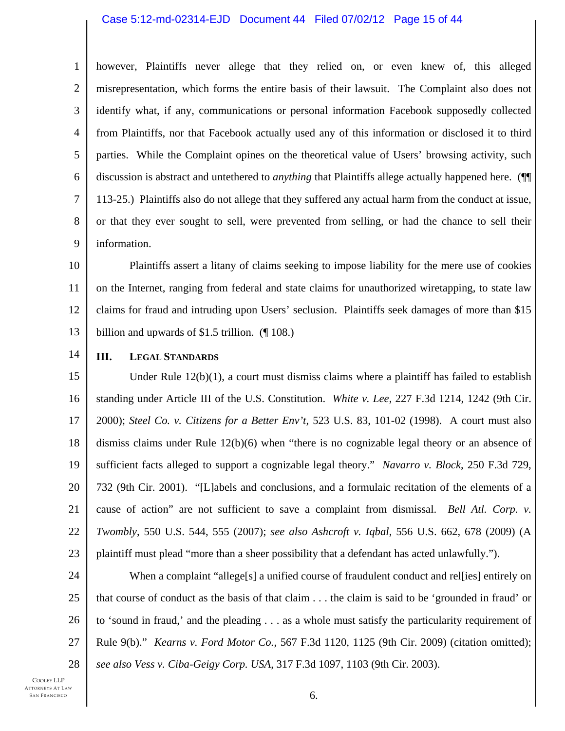#### Case 5:12-md-02314-EJD Document 44 Filed 07/02/12 Page 15 of 44

1 2 3 4 5 6 7 8 9 however, Plaintiffs never allege that they relied on, or even knew of, this alleged misrepresentation, which forms the entire basis of their lawsuit. The Complaint also does not identify what, if any, communications or personal information Facebook supposedly collected from Plaintiffs, nor that Facebook actually used any of this information or disclosed it to third parties. While the Complaint opines on the theoretical value of Users' browsing activity, such discussion is abstract and untethered to *anything* that Plaintiffs allege actually happened here. (¶¶ 113-25.) Plaintiffs also do not allege that they suffered any actual harm from the conduct at issue, or that they ever sought to sell, were prevented from selling, or had the chance to sell their information.

10 11 12 13 Plaintiffs assert a litany of claims seeking to impose liability for the mere use of cookies on the Internet, ranging from federal and state claims for unauthorized wiretapping, to state law claims for fraud and intruding upon Users' seclusion. Plaintiffs seek damages of more than \$15 billion and upwards of \$1.5 trillion. (¶ 108.)

14

## **III. LEGAL STANDARDS**

15 16 17 18 19 20 21 22 23 Under Rule 12(b)(1), a court must dismiss claims where a plaintiff has failed to establish standing under Article III of the U.S. Constitution. *White v. Lee*, 227 F.3d 1214, 1242 (9th Cir. 2000); *Steel Co. v. Citizens for a Better Env't*, 523 U.S. 83, 101-02 (1998). A court must also dismiss claims under Rule 12(b)(6) when "there is no cognizable legal theory or an absence of sufficient facts alleged to support a cognizable legal theory." *Navarro v. Block*, 250 F.3d 729, 732 (9th Cir. 2001). "[L]abels and conclusions, and a formulaic recitation of the elements of a cause of action" are not sufficient to save a complaint from dismissal. *Bell Atl. Corp. v. Twombly*, 550 U.S. 544, 555 (2007); *see also Ashcroft v. Iqbal*, 556 U.S. 662, 678 (2009) (A plaintiff must plead "more than a sheer possibility that a defendant has acted unlawfully.").

24 25 26 27 28 When a complaint "allege[s] a unified course of fraudulent conduct and rel[ies] entirely on that course of conduct as the basis of that claim . . . the claim is said to be 'grounded in fraud' or to 'sound in fraud,' and the pleading . . . as a whole must satisfy the particularity requirement of Rule 9(b)." *Kearns v. Ford Motor Co.*, 567 F.3d 1120, 1125 (9th Cir. 2009) (citation omitted); *see also Vess v. Ciba-Geigy Corp. USA*, 317 F.3d 1097, 1103 (9th Cir. 2003).

6.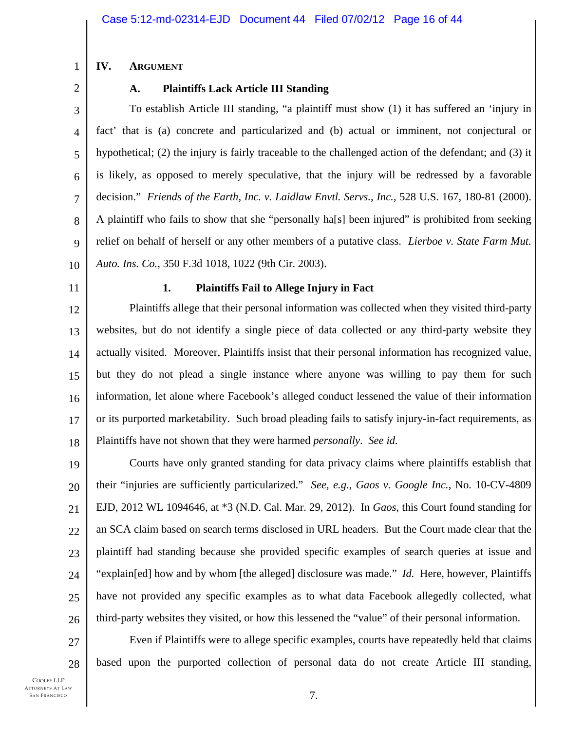## **IV. ARGUMENT**

2

1

## **A. Plaintiffs Lack Article III Standing**

3 4 5 6 7 8 9 10 To establish Article III standing, "a plaintiff must show (1) it has suffered an 'injury in fact' that is (a) concrete and particularized and (b) actual or imminent, not conjectural or hypothetical; (2) the injury is fairly traceable to the challenged action of the defendant; and (3) it is likely, as opposed to merely speculative, that the injury will be redressed by a favorable decision." *Friends of the Earth, Inc. v. Laidlaw Envtl. Servs., Inc.*, 528 U.S. 167, 180-81 (2000). A plaintiff who fails to show that she "personally ha[s] been injured" is prohibited from seeking relief on behalf of herself or any other members of a putative class. *Lierboe v. State Farm Mut. Auto. Ins. Co.*, 350 F.3d 1018, 1022 (9th Cir. 2003).

11

### **1. Plaintiffs Fail to Allege Injury in Fact**

12 13 14 15 16 17 18 Plaintiffs allege that their personal information was collected when they visited third-party websites, but do not identify a single piece of data collected or any third-party website they actually visited. Moreover, Plaintiffs insist that their personal information has recognized value, but they do not plead a single instance where anyone was willing to pay them for such information, let alone where Facebook's alleged conduct lessened the value of their information or its purported marketability. Such broad pleading fails to satisfy injury-in-fact requirements, as Plaintiffs have not shown that they were harmed *personally*. *See id.*

19 20 21 22 23 24 25 26 Courts have only granted standing for data privacy claims where plaintiffs establish that their "injuries are sufficiently particularized." *See, e.g.*, *Gaos v. Google Inc.*, No. 10-CV-4809 EJD, 2012 WL 1094646, at \*3 (N.D. Cal. Mar. 29, 2012). In *Gaos*, this Court found standing for an SCA claim based on search terms disclosed in URL headers. But the Court made clear that the plaintiff had standing because she provided specific examples of search queries at issue and "explain[ed] how and by whom [the alleged] disclosure was made." *Id.* Here, however, Plaintiffs have not provided any specific examples as to what data Facebook allegedly collected, what third-party websites they visited, or how this lessened the "value" of their personal information.

27 28 Even if Plaintiffs were to allege specific examples, courts have repeatedly held that claims based upon the purported collection of personal data do not create Article III standing,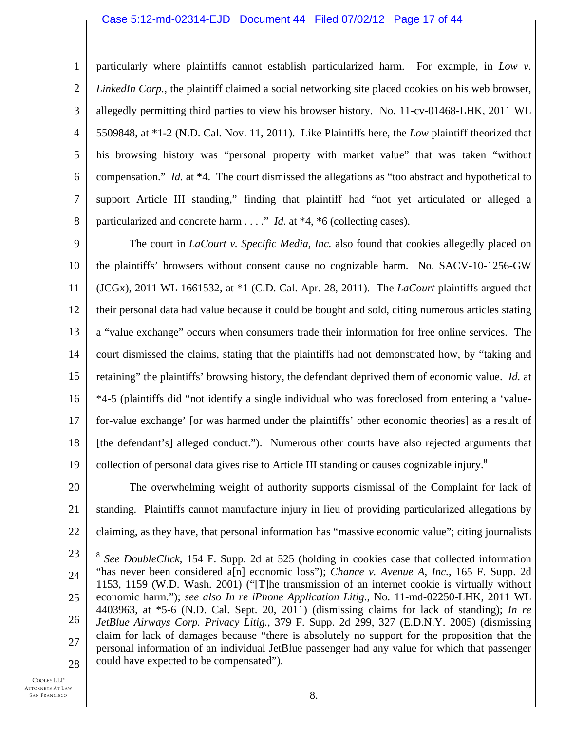#### Case 5:12-md-02314-EJD Document 44 Filed 07/02/12 Page 17 of 44

1 2 3 4 5 6 7 8 particularly where plaintiffs cannot establish particularized harm. For example, in *Low v. LinkedIn Corp.*, the plaintiff claimed a social networking site placed cookies on his web browser, allegedly permitting third parties to view his browser history. No. 11-cv-01468-LHK, 2011 WL 5509848, at \*1-2 (N.D. Cal. Nov. 11, 2011). Like Plaintiffs here, the *Low* plaintiff theorized that his browsing history was "personal property with market value" that was taken "without compensation." *Id.* at \*4. The court dismissed the allegations as "too abstract and hypothetical to support Article III standing," finding that plaintiff had "not yet articulated or alleged a particularized and concrete harm . . . ." *Id.* at \*4, \*6 (collecting cases).

9 10 11 12 13 14 15 16 17 18 19 The court in *LaCourt v. Specific Media, Inc.* also found that cookies allegedly placed on the plaintiffs' browsers without consent cause no cognizable harm. No. SACV-10-1256-GW (JCGx), 2011 WL 1661532, at \*1 (C.D. Cal. Apr. 28, 2011). The *LaCourt* plaintiffs argued that their personal data had value because it could be bought and sold, citing numerous articles stating a "value exchange" occurs when consumers trade their information for free online services. The court dismissed the claims, stating that the plaintiffs had not demonstrated how, by "taking and retaining" the plaintiffs' browsing history, the defendant deprived them of economic value. *Id.* at \*4-5 (plaintiffs did "not identify a single individual who was foreclosed from entering a 'valuefor-value exchange' [or was harmed under the plaintiffs' other economic theories] as a result of [the defendant's] alleged conduct."). Numerous other courts have also rejected arguments that collection of personal data gives rise to Article III standing or causes cognizable injury.<sup>8</sup>

20 21 22 The overwhelming weight of authority supports dismissal of the Complaint for lack of standing. Plaintiffs cannot manufacture injury in lieu of providing particularized allegations by claiming, as they have, that personal information has "massive economic value"; citing journalists

COOLEY LLP ATTORNEYS AT LAW SAN FRANCISCO

<sup>23</sup>  24 25 26 27 28 <sup>8</sup> *See DoubleClick*, 154 F. Supp. 2d at 525 (holding in cookies case that collected information "has never been considered a[n] economic loss"); *Chance v. Avenue A, Inc.*, 165 F. Supp. 2d 1153, 1159 (W.D. Wash. 2001) ("[T]he transmission of an internet cookie is virtually without economic harm."); *see also In re iPhone Application Litig.*, No. 11-md-02250-LHK, 2011 WL 4403963, at \*5-6 (N.D. Cal. Sept. 20, 2011) (dismissing claims for lack of standing); *In re JetBlue Airways Corp. Privacy Litig.*, 379 F. Supp. 2d 299, 327 (E.D.N.Y. 2005) (dismissing claim for lack of damages because "there is absolutely no support for the proposition that the personal information of an individual JetBlue passenger had any value for which that passenger could have expected to be compensated").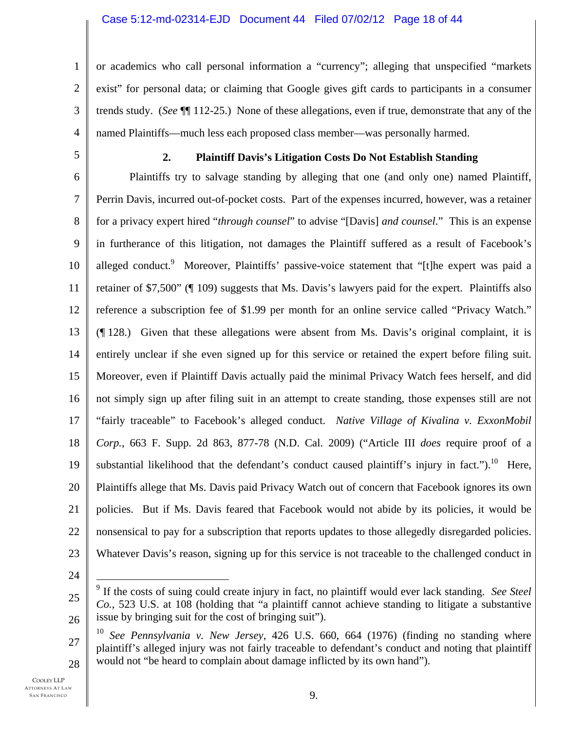1 2 3 4 or academics who call personal information a "currency"; alleging that unspecified "markets exist" for personal data; or claiming that Google gives gift cards to participants in a consumer trends study. (*See* ¶¶ 112-25.) None of these allegations, even if true, demonstrate that any of the named Plaintiffs—much less each proposed class member—was personally harmed.

5

## **2. Plaintiff Davis's Litigation Costs Do Not Establish Standing**

6 7 8 9 10 11 12 13 14 15 16 17 18 19 20 21 22 23 Plaintiffs try to salvage standing by alleging that one (and only one) named Plaintiff, Perrin Davis, incurred out-of-pocket costs. Part of the expenses incurred, however, was a retainer for a privacy expert hired "*through counsel*" to advise "[Davis] *and counsel*." This is an expense in furtherance of this litigation, not damages the Plaintiff suffered as a result of Facebook's alleged conduct.<sup>9</sup> Moreover, Plaintiffs' passive-voice statement that "[t]he expert was paid a retainer of \$7,500" (¶ 109) suggests that Ms. Davis's lawyers paid for the expert. Plaintiffs also reference a subscription fee of \$1.99 per month for an online service called "Privacy Watch." (¶ 128.) Given that these allegations were absent from Ms. Davis's original complaint, it is entirely unclear if she even signed up for this service or retained the expert before filing suit. Moreover, even if Plaintiff Davis actually paid the minimal Privacy Watch fees herself, and did not simply sign up after filing suit in an attempt to create standing, those expenses still are not "fairly traceable" to Facebook's alleged conduct. *Native Village of Kivalina v. ExxonMobil Corp.*, 663 F. Supp. 2d 863, 877-78 (N.D. Cal. 2009) ("Article III *does* require proof of a substantial likelihood that the defendant's conduct caused plaintiff's injury in fact." $1^{10}$  Here, Plaintiffs allege that Ms. Davis paid Privacy Watch out of concern that Facebook ignores its own policies. But if Ms. Davis feared that Facebook would not abide by its policies, it would be nonsensical to pay for a subscription that reports updates to those allegedly disregarded policies. Whatever Davis's reason, signing up for this service is not traceable to the challenged conduct in

24

<sup>25</sup>  26 9 If the costs of suing could create injury in fact, no plaintiff would ever lack standing. *See Steel Co.*, 523 U.S. at 108 (holding that "a plaintiff cannot achieve standing to litigate a substantive issue by bringing suit for the cost of bringing suit").

<sup>27</sup>  28 <sup>10</sup> *See Pennsylvania v. New Jersey*, 426 U.S. 660, 664 (1976) (finding no standing where plaintiff's alleged injury was not fairly traceable to defendant's conduct and noting that plaintiff would not "be heard to complain about damage inflicted by its own hand").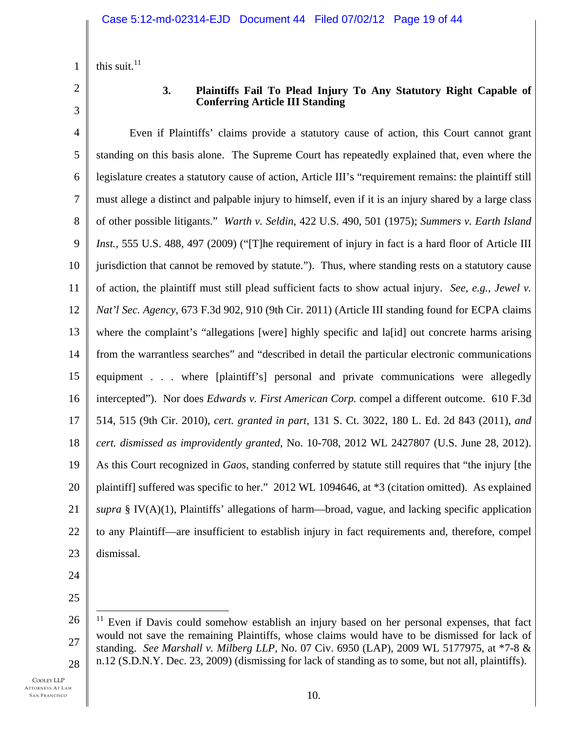1 this suit. $11$ 

2 3

### **3. Plaintiffs Fail To Plead Injury To Any Statutory Right Capable of Conferring Article III Standing**

4 5 6 7 8 9 10 11 12 13 14 15 16 17 18 19 20 21 22 23 Even if Plaintiffs' claims provide a statutory cause of action, this Court cannot grant standing on this basis alone. The Supreme Court has repeatedly explained that, even where the legislature creates a statutory cause of action, Article III's "requirement remains: the plaintiff still must allege a distinct and palpable injury to himself, even if it is an injury shared by a large class of other possible litigants." *Warth v. Seldin*, 422 U.S. 490, 501 (1975); *Summers v. Earth Island Inst.*, 555 U.S. 488, 497 (2009) ("[T]he requirement of injury in fact is a hard floor of Article III jurisdiction that cannot be removed by statute."). Thus, where standing rests on a statutory cause of action, the plaintiff must still plead sufficient facts to show actual injury. *See*, *e.g.*, *Jewel v. Nat'l Sec. Agency*, 673 F.3d 902, 910 (9th Cir. 2011) (Article III standing found for ECPA claims where the complaint's "allegations [were] highly specific and la<sup>[id]</sup> out concrete harms arising from the warrantless searches" and "described in detail the particular electronic communications equipment . . . where [plaintiff's] personal and private communications were allegedly intercepted"). Nor does *Edwards v. First American Corp.* compel a different outcome. 610 F.3d 514, 515 (9th Cir. 2010), *cert. granted in part*, 131 S. Ct. 3022, 180 L. Ed. 2d 843 (2011), *and cert. dismissed as improvidently granted*, No. 10-708, 2012 WL 2427807 (U.S. June 28, 2012). As this Court recognized in *Gaos*, standing conferred by statute still requires that "the injury [the plaintiff] suffered was specific to her." 2012 WL 1094646, at \*3 (citation omitted). As explained  $supra \S IV(A)(1)$ , Plaintiffs' allegations of harm—broad, vague, and lacking specific application to any Plaintiff—are insufficient to establish injury in fact requirements and, therefore, compel dismissal.

- 24
- 25

<sup>26</sup>  27 28 <sup>11</sup> Even if Davis could somehow establish an injury based on her personal expenses, that fact would not save the remaining Plaintiffs, whose claims would have to be dismissed for lack of standing. *See Marshall v. Milberg LLP*, No. 07 Civ. 6950 (LAP), 2009 WL 5177975, at \*7-8 & n.12 (S.D.N.Y. Dec. 23, 2009) (dismissing for lack of standing as to some, but not all, plaintiffs).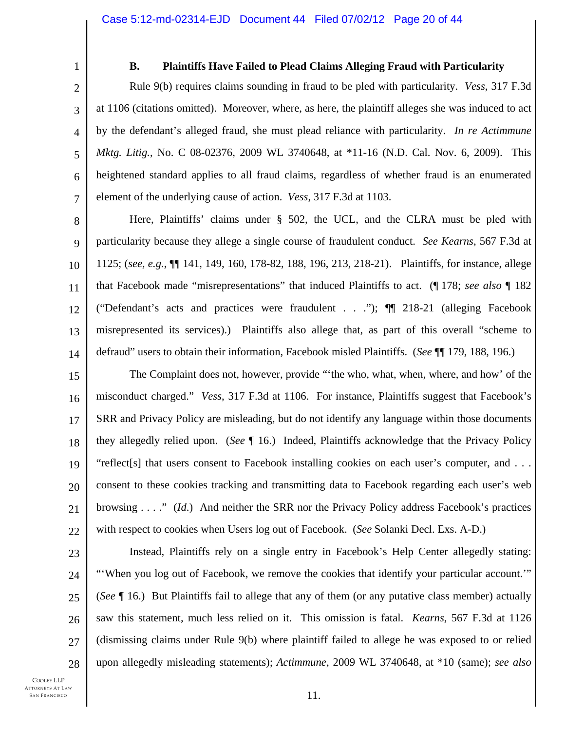1 2

3

4

5

6

7

## **B. Plaintiffs Have Failed to Plead Claims Alleging Fraud with Particularity**

Rule 9(b) requires claims sounding in fraud to be pled with particularity. *Vess*, 317 F.3d at 1106 (citations omitted). Moreover, where, as here, the plaintiff alleges she was induced to act by the defendant's alleged fraud, she must plead reliance with particularity. *In re Actimmune Mktg. Litig.*, No. C 08-02376, 2009 WL 3740648, at \*11-16 (N.D. Cal. Nov. 6, 2009). This heightened standard applies to all fraud claims, regardless of whether fraud is an enumerated element of the underlying cause of action. *Vess*, 317 F.3d at 1103.

8 9 10 11 12 13 14 Here, Plaintiffs' claims under § 502, the UCL, and the CLRA must be pled with particularity because they allege a single course of fraudulent conduct. *See Kearns*, 567 F.3d at 1125; (*see, e.g.*, ¶¶ 141, 149, 160, 178-82, 188, 196, 213, 218-21). Plaintiffs, for instance, allege that Facebook made "misrepresentations" that induced Plaintiffs to act. (¶ 178; *see also* ¶ 182 ("Defendant's acts and practices were fraudulent . . ."); ¶¶ 218-21 (alleging Facebook misrepresented its services).) Plaintiffs also allege that, as part of this overall "scheme to defraud" users to obtain their information, Facebook misled Plaintiffs. (*See* ¶¶ 179, 188, 196.)

15 16 17 18 19 20 21 22 The Complaint does not, however, provide "'the who, what, when, where, and how' of the misconduct charged." *Vess*, 317 F.3d at 1106. For instance, Plaintiffs suggest that Facebook's SRR and Privacy Policy are misleading, but do not identify any language within those documents they allegedly relied upon. (*See* ¶ 16.) Indeed, Plaintiffs acknowledge that the Privacy Policy "reflect[s] that users consent to Facebook installing cookies on each user's computer, and . . . consent to these cookies tracking and transmitting data to Facebook regarding each user's web browsing . . . ." (*Id*.) And neither the SRR nor the Privacy Policy address Facebook's practices with respect to cookies when Users log out of Facebook. (*See* Solanki Decl. Exs. A-D.)

23 24 25 26 27 28 Instead, Plaintiffs rely on a single entry in Facebook's Help Center allegedly stating: "'When you log out of Facebook, we remove the cookies that identify your particular account.'" (*See* ¶ 16.) But Plaintiffs fail to allege that any of them (or any putative class member) actually saw this statement, much less relied on it. This omission is fatal. *Kearns*, 567 F.3d at 1126 (dismissing claims under Rule 9(b) where plaintiff failed to allege he was exposed to or relied upon allegedly misleading statements); *Actimmune*, 2009 WL 3740648, at \*10 (same); *see also*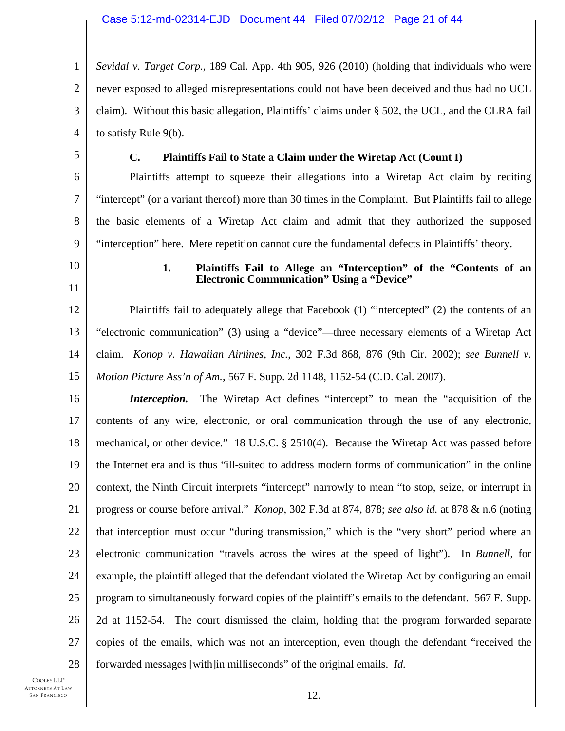1 2 3 4 *Sevidal v. Target Corp.*, 189 Cal. App. 4th 905, 926 (2010) (holding that individuals who were never exposed to alleged misrepresentations could not have been deceived and thus had no UCL claim). Without this basic allegation, Plaintiffs' claims under § 502, the UCL, and the CLRA fail to satisfy Rule 9(b).

5

## **C. Plaintiffs Fail to State a Claim under the Wiretap Act (Count I)**

6 7 8 9 Plaintiffs attempt to squeeze their allegations into a Wiretap Act claim by reciting "intercept" (or a variant thereof) more than 30 times in the Complaint. But Plaintiffs fail to allege the basic elements of a Wiretap Act claim and admit that they authorized the supposed "interception" here. Mere repetition cannot cure the fundamental defects in Plaintiffs' theory.

10

11

#### **1. Plaintiffs Fail to Allege an "Interception" of the "Contents of an Electronic Communication" Using a "Device"**

12 13 14 15 Plaintiffs fail to adequately allege that Facebook (1) "intercepted" (2) the contents of an "electronic communication" (3) using a "device"—three necessary elements of a Wiretap Act claim. *Konop v. Hawaiian Airlines, Inc.*, 302 F.3d 868, 876 (9th Cir. 2002); *see Bunnell v. Motion Picture Ass'n of Am.*, 567 F. Supp. 2d 1148, 1152-54 (C.D. Cal. 2007).

16 17 18 19 20 21 22 23 24 25 26 27 28 *Interception.* The Wiretap Act defines "intercept" to mean the "acquisition of the contents of any wire, electronic, or oral communication through the use of any electronic, mechanical, or other device." 18 U.S.C. § 2510(4). Because the Wiretap Act was passed before the Internet era and is thus "ill-suited to address modern forms of communication" in the online context, the Ninth Circuit interprets "intercept" narrowly to mean "to stop, seize, or interrupt in progress or course before arrival." *Konop*, 302 F.3d at 874, 878; *see also id.* at 878 & n.6 (noting that interception must occur "during transmission," which is the "very short" period where an electronic communication "travels across the wires at the speed of light"). In *Bunnell*, for example, the plaintiff alleged that the defendant violated the Wiretap Act by configuring an email program to simultaneously forward copies of the plaintiff's emails to the defendant. 567 F. Supp. 2d at 1152-54. The court dismissed the claim, holding that the program forwarded separate copies of the emails, which was not an interception, even though the defendant "received the forwarded messages [with]in milliseconds" of the original emails. *Id.*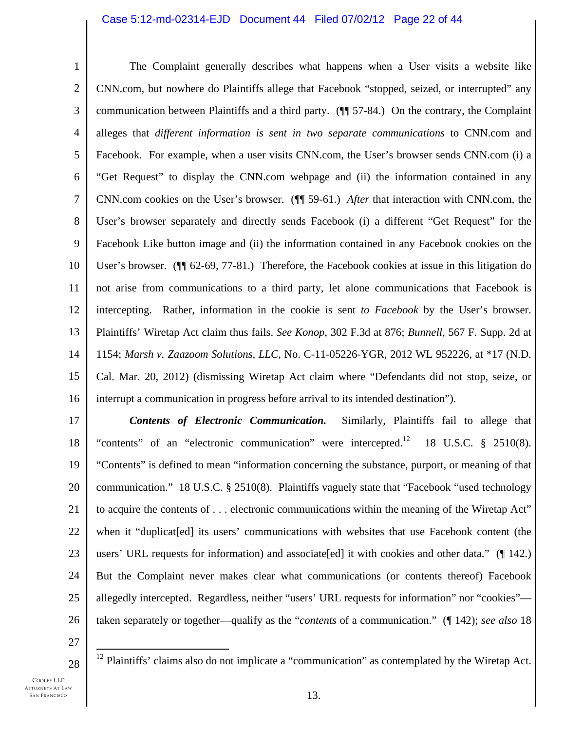#### Case 5:12-md-02314-EJD Document 44 Filed 07/02/12 Page 22 of 44

1 2 3 4 5 6 7 8 9 10 11 12 13 14 15 16 The Complaint generally describes what happens when a User visits a website like CNN.com, but nowhere do Plaintiffs allege that Facebook "stopped, seized, or interrupted" any communication between Plaintiffs and a third party. (¶¶ 57-84.) On the contrary, the Complaint alleges that *different information is sent in two separate communications* to CNN.com and Facebook. For example, when a user visits CNN.com, the User's browser sends CNN.com (i) a "Get Request" to display the CNN.com webpage and (ii) the information contained in any CNN.com cookies on the User's browser. (¶¶ 59-61.) *After* that interaction with CNN.com, the User's browser separately and directly sends Facebook (i) a different "Get Request" for the Facebook Like button image and (ii) the information contained in any Facebook cookies on the User's browser. (¶¶ 62-69, 77-81.) Therefore, the Facebook cookies at issue in this litigation do not arise from communications to a third party, let alone communications that Facebook is intercepting. Rather, information in the cookie is sent *to Facebook* by the User's browser. Plaintiffs' Wiretap Act claim thus fails. *See Konop*, 302 F.3d at 876; *Bunnell*, 567 F. Supp. 2d at 1154; *Marsh v. Zaazoom Solutions, LLC*, No. C-11-05226-YGR, 2012 WL 952226, at \*17 (N.D. Cal. Mar. 20, 2012) (dismissing Wiretap Act claim where "Defendants did not stop, seize, or interrupt a communication in progress before arrival to its intended destination").

17 18 19 20 21 22 23 24 25 26 *Contents of Electronic Communication.*Similarly, Plaintiffs fail to allege that "contents" of an "electronic communication" were intercepted.<sup>12</sup> 18 U.S.C. § 2510(8). "Contents" is defined to mean "information concerning the substance, purport, or meaning of that communication." 18 U.S.C. § 2510(8). Plaintiffs vaguely state that "Facebook "used technology to acquire the contents of . . . electronic communications within the meaning of the Wiretap Act" when it "duplicat[ed] its users' communications with websites that use Facebook content (the users' URL requests for information) and associate[ed] it with cookies and other data." (¶ 142.) But the Complaint never makes clear what communications (or contents thereof) Facebook allegedly intercepted. Regardless, neither "users' URL requests for information" nor "cookies" taken separately or together—qualify as the "*contents* of a communication." (¶ 142); *see also* 18

27

 $\overline{a}$ 

28

<sup>12</sup> Plaintiffs' claims also do not implicate a "communication" as contemplated by the Wiretap Act.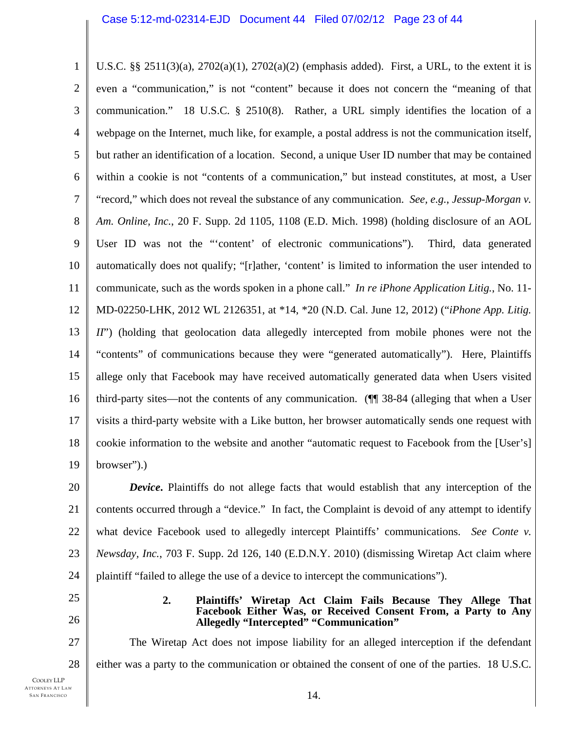1 2 3 4 5 6 7 8 9 10 11 12 13 14 15 16 17 18 19 U.S.C. §§ 2511(3)(a),  $2702(a)(1)$ ,  $2702(a)(2)$  (emphasis added). First, a URL, to the extent it is even a "communication," is not "content" because it does not concern the "meaning of that communication." 18 U.S.C. § 2510(8). Rather, a URL simply identifies the location of a webpage on the Internet, much like, for example, a postal address is not the communication itself, but rather an identification of a location. Second, a unique User ID number that may be contained within a cookie is not "contents of a communication," but instead constitutes, at most, a User "record," which does not reveal the substance of any communication. *See, e.g.*, *Jessup-Morgan v. Am. Online, Inc.*, 20 F. Supp. 2d 1105, 1108 (E.D. Mich. 1998) (holding disclosure of an AOL User ID was not the "'content' of electronic communications"). Third, data generated automatically does not qualify; "[r]ather, 'content' is limited to information the user intended to communicate, such as the words spoken in a phone call." *In re iPhone Application Litig.*, No. 11- MD-02250-LHK, 2012 WL 2126351, at \*14, \*20 (N.D. Cal. June 12, 2012) ("*iPhone App. Litig. II*") (holding that geolocation data allegedly intercepted from mobile phones were not the "contents" of communications because they were "generated automatically"). Here, Plaintiffs allege only that Facebook may have received automatically generated data when Users visited third-party sites—not the contents of any communication. (¶¶ 38-84 (alleging that when a User visits a third-party website with a Like button, her browser automatically sends one request with cookie information to the website and another "automatic request to Facebook from the [User's] browser").)

20 21 22 23 24 **Device**. Plaintiffs do not allege facts that would establish that any interception of the contents occurred through a "device." In fact, the Complaint is devoid of any attempt to identify what device Facebook used to allegedly intercept Plaintiffs' communications. *See Conte v. Newsday, Inc.*, 703 F. Supp. 2d 126, 140 (E.D.N.Y. 2010) (dismissing Wiretap Act claim where plaintiff "failed to allege the use of a device to intercept the communications").

- 25
- 26

#### **2. Plaintiffs' Wiretap Act Claim Fails Because They Allege That Facebook Either Was, or Received Consent From, a Party to Any Allegedly "Intercepted" "Communication"**

27 28 The Wiretap Act does not impose liability for an alleged interception if the defendant either was a party to the communication or obtained the consent of one of the parties. 18 U.S.C.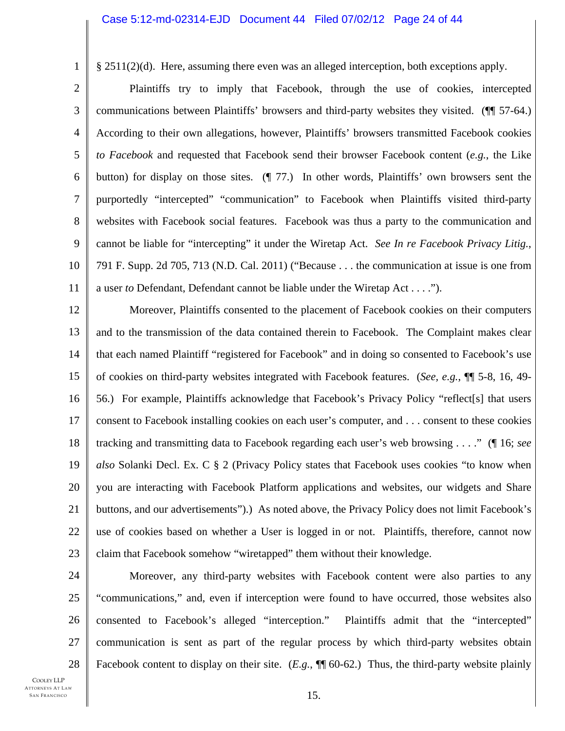1

§ 2511(2)(d). Here, assuming there even was an alleged interception, both exceptions apply.

2 3 4 5 6 7 8 9 10 11 Plaintiffs try to imply that Facebook, through the use of cookies, intercepted communications between Plaintiffs' browsers and third-party websites they visited. (¶¶ 57-64.) According to their own allegations, however, Plaintiffs' browsers transmitted Facebook cookies *to Facebook* and requested that Facebook send their browser Facebook content (*e.g.*, the Like button) for display on those sites. (¶ 77.) In other words, Plaintiffs' own browsers sent the purportedly "intercepted" "communication" to Facebook when Plaintiffs visited third-party websites with Facebook social features. Facebook was thus a party to the communication and cannot be liable for "intercepting" it under the Wiretap Act. *See In re Facebook Privacy Litig.*, 791 F. Supp. 2d 705, 713 (N.D. Cal. 2011) ("Because . . . the communication at issue is one from a user *to* Defendant, Defendant cannot be liable under the Wiretap Act . . . .").

12 13 14 15 16 17 18 19 20 21 22 23 Moreover, Plaintiffs consented to the placement of Facebook cookies on their computers and to the transmission of the data contained therein to Facebook. The Complaint makes clear that each named Plaintiff "registered for Facebook" and in doing so consented to Facebook's use of cookies on third-party websites integrated with Facebook features. (*See, e.g.*, ¶¶ 5-8, 16, 49- 56.) For example, Plaintiffs acknowledge that Facebook's Privacy Policy "reflect[s] that users consent to Facebook installing cookies on each user's computer, and . . . consent to these cookies tracking and transmitting data to Facebook regarding each user's web browsing . . . ." (¶ 16; *see also* Solanki Decl. Ex. C § 2 (Privacy Policy states that Facebook uses cookies "to know when you are interacting with Facebook Platform applications and websites, our widgets and Share buttons, and our advertisements").) As noted above, the Privacy Policy does not limit Facebook's use of cookies based on whether a User is logged in or not. Plaintiffs, therefore, cannot now claim that Facebook somehow "wiretapped" them without their knowledge.

24 25

26 27 28 Moreover, any third-party websites with Facebook content were also parties to any "communications," and, even if interception were found to have occurred, those websites also consented to Facebook's alleged "interception." Plaintiffs admit that the "intercepted" communication is sent as part of the regular process by which third-party websites obtain Facebook content to display on their site. (*E.g.*, **[1]** 60-62.) Thus, the third-party website plainly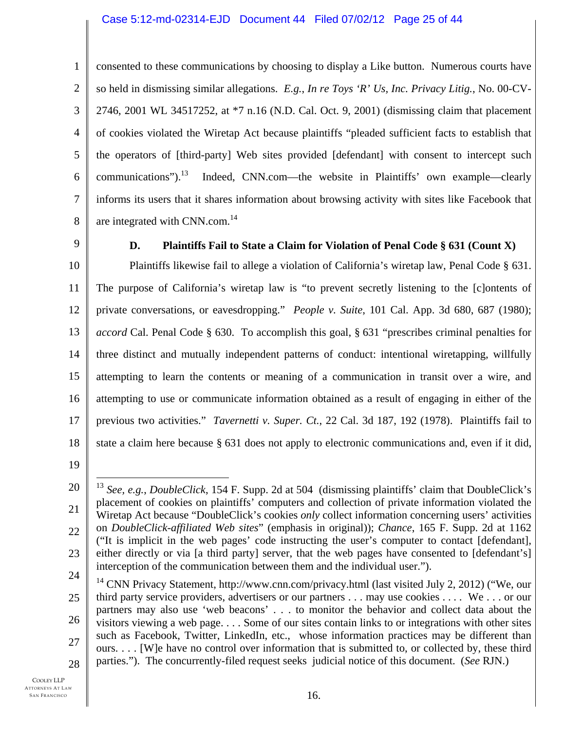#### Case 5:12-md-02314-EJD Document 44 Filed 07/02/12 Page 25 of 44

1 2 3 4 5 6 7 8 consented to these communications by choosing to display a Like button. Numerous courts have so held in dismissing similar allegations. *E.g.*, *In re Toys 'R' Us, Inc. Privacy Litig.*, No. 00-CV-2746, 2001 WL 34517252, at \*7 n.16 (N.D. Cal. Oct. 9, 2001) (dismissing claim that placement of cookies violated the Wiretap Act because plaintiffs "pleaded sufficient facts to establish that the operators of [third-party] Web sites provided [defendant] with consent to intercept such communications").<sup>13</sup> Indeed, CNN.com—the website in Plaintiffs' own example—clearly informs its users that it shares information about browsing activity with sites like Facebook that are integrated with CNN.com.<sup>14</sup>

9

### **D. Plaintiffs Fail to State a Claim for Violation of Penal Code § 631 (Count X)**

10 11 12 13 14 15 16 17 18 Plaintiffs likewise fail to allege a violation of California's wiretap law, Penal Code § 631. The purpose of California's wiretap law is "to prevent secretly listening to the [c]ontents of private conversations, or eavesdropping." *People v. Suite*, 101 Cal. App. 3d 680, 687 (1980); *accord* Cal. Penal Code § 630. To accomplish this goal, § 631 "prescribes criminal penalties for three distinct and mutually independent patterns of conduct: intentional wiretapping, willfully attempting to learn the contents or meaning of a communication in transit over a wire, and attempting to use or communicate information obtained as a result of engaging in either of the previous two activities." *Tavernetti v. Super. Ct.*, 22 Cal. 3d 187, 192 (1978). Plaintiffs fail to state a claim here because § 631 does not apply to electronic communications and, even if it did,

19

<sup>20</sup>  21 22 23  $\overline{a}$ <sup>13</sup> *See, e.g.*, *DoubleClick*, 154 F. Supp. 2d at 504 (dismissing plaintiffs' claim that DoubleClick's placement of cookies on plaintiffs' computers and collection of private information violated the Wiretap Act because "DoubleClick's cookies *only* collect information concerning users' activities on *DoubleClick-affiliated Web sites*" (emphasis in original)); *Chance*, 165 F. Supp. 2d at 1162 ("It is implicit in the web pages' code instructing the user's computer to contact [defendant], either directly or via [a third party] server, that the web pages have consented to [defendant's] interception of the communication between them and the individual user.").

<sup>24</sup>  25 26 27 28 <sup>14</sup> CNN Privacy Statement, http://www.cnn.com/privacy.html (last visited July 2, 2012) ("We, our third party service providers, advertisers or our partners . . . may use cookies . . . . We . . . or our partners may also use 'web beacons' . . . to monitor the behavior and collect data about the visitors viewing a web page. . . . Some of our sites contain links to or integrations with other sites such as Facebook, Twitter, LinkedIn, etc., whose information practices may be different than ours. . . . [W]e have no control over information that is submitted to, or collected by, these third parties."). The concurrently-filed request seeks judicial notice of this document. (*See* RJN.)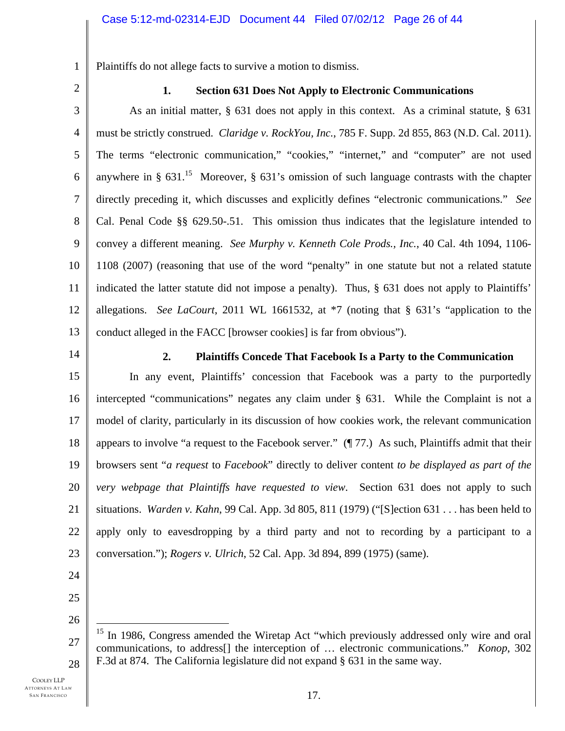1 Plaintiffs do not allege facts to survive a motion to dismiss.

2

#### **1. Section 631 Does Not Apply to Electronic Communications**

3 4 5 6 7 8 9 10 11 12 13 As an initial matter, § 631 does not apply in this context. As a criminal statute, § 631 must be strictly construed. *Claridge v. RockYou, Inc.*, 785 F. Supp. 2d 855, 863 (N.D. Cal. 2011). The terms "electronic communication," "cookies," "internet," and "computer" are not used anywhere in § 631.<sup>15</sup> Moreover, § 631's omission of such language contrasts with the chapter directly preceding it, which discusses and explicitly defines "electronic communications." *See* Cal. Penal Code §§ 629.50-.51. This omission thus indicates that the legislature intended to convey a different meaning. *See Murphy v. Kenneth Cole Prods., Inc.*, 40 Cal. 4th 1094, 1106- 1108 (2007) (reasoning that use of the word "penalty" in one statute but not a related statute indicated the latter statute did not impose a penalty). Thus, § 631 does not apply to Plaintiffs' allegations. *See LaCourt*, 2011 WL 1661532, at \*7 (noting that § 631's "application to the conduct alleged in the FACC [browser cookies] is far from obvious").

14

#### **2. Plaintiffs Concede That Facebook Is a Party to the Communication**

15 16 17 18 19 20 21 22 23 In any event, Plaintiffs' concession that Facebook was a party to the purportedly intercepted "communications" negates any claim under § 631. While the Complaint is not a model of clarity, particularly in its discussion of how cookies work, the relevant communication appears to involve "a request to the Facebook server." (¶ 77.) As such, Plaintiffs admit that their browsers sent "*a request* to *Facebook*" directly to deliver content *to be displayed as part of the very webpage that Plaintiffs have requested to view*. Section 631 does not apply to such situations. *Warden v. Kahn*, 99 Cal. App. 3d 805, 811 (1979) ("[S]ection 631 . . . has been held to apply only to eavesdropping by a third party and not to recording by a participant to a conversation."); *Rogers v. Ulrich*, 52 Cal. App. 3d 894, 899 (1975) (same).

24 25

26

 $\overline{a}$ 

27 28 <sup>15</sup> In 1986, Congress amended the Wiretap Act "which previously addressed only wire and oral communications, to address[] the interception of … electronic communications." *Konop*, 302 F.3d at 874. The California legislature did not expand § 631 in the same way.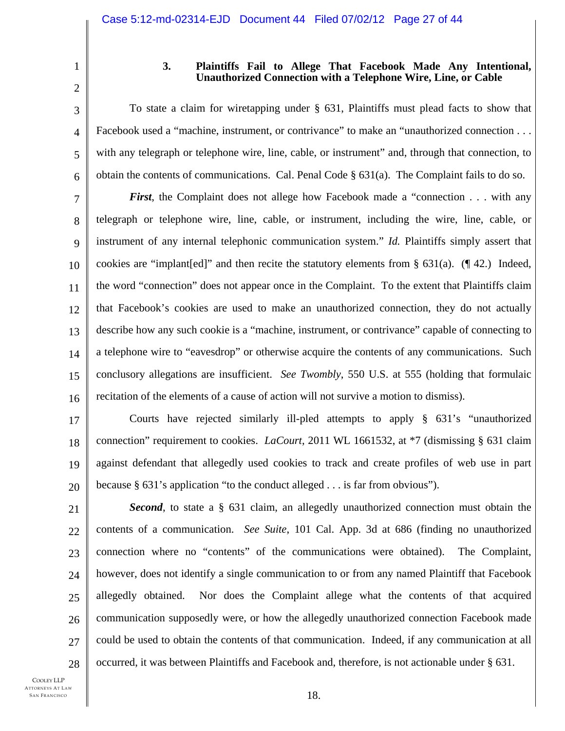2

3

4

5

6

1

## **3. Plaintiffs Fail to Allege That Facebook Made Any Intentional, Unauthorized Connection with a Telephone Wire, Line, or Cable**

To state a claim for wiretapping under § 631, Plaintiffs must plead facts to show that Facebook used a "machine, instrument, or contrivance" to make an "unauthorized connection . . . with any telegraph or telephone wire, line, cable, or instrument" and, through that connection, to obtain the contents of communications. Cal. Penal Code  $\S 631(a)$ . The Complaint fails to do so.

7 8 9 10 11 12 13 14 15 16 *First*, the Complaint does not allege how Facebook made a "connection . . . with any telegraph or telephone wire, line, cable, or instrument, including the wire, line, cable, or instrument of any internal telephonic communication system." *Id.* Plaintiffs simply assert that cookies are "implant[ed]" and then recite the statutory elements from § 631(a). (¶ 42.) Indeed, the word "connection" does not appear once in the Complaint. To the extent that Plaintiffs claim that Facebook's cookies are used to make an unauthorized connection, they do not actually describe how any such cookie is a "machine, instrument, or contrivance" capable of connecting to a telephone wire to "eavesdrop" or otherwise acquire the contents of any communications. Such conclusory allegations are insufficient. *See Twombly*, 550 U.S. at 555 (holding that formulaic recitation of the elements of a cause of action will not survive a motion to dismiss).

17 18 19 20 Courts have rejected similarly ill-pled attempts to apply § 631's "unauthorized connection" requirement to cookies. *LaCourt*, 2011 WL 1661532, at \*7 (dismissing § 631 claim against defendant that allegedly used cookies to track and create profiles of web use in part because § 631's application "to the conduct alleged . . . is far from obvious").

21 22 23 24 25 26 27 28 **Second**, to state a § 631 claim, an allegedly unauthorized connection must obtain the contents of a communication. *See Suite*, 101 Cal. App. 3d at 686 (finding no unauthorized connection where no "contents" of the communications were obtained). The Complaint, however, does not identify a single communication to or from any named Plaintiff that Facebook allegedly obtained. Nor does the Complaint allege what the contents of that acquired communication supposedly were, or how the allegedly unauthorized connection Facebook made could be used to obtain the contents of that communication. Indeed, if any communication at all occurred, it was between Plaintiffs and Facebook and, therefore, is not actionable under § 631.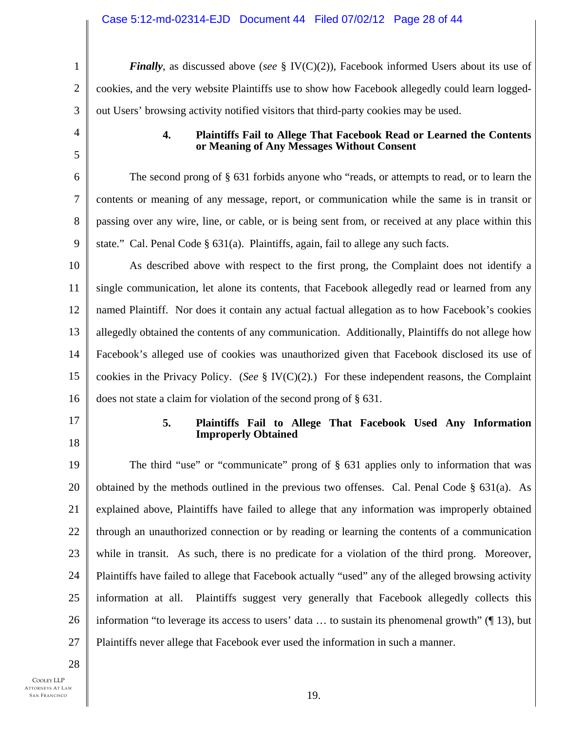1 2 3 4 5 6 7 8 9 10 11 12 13 14 15 16 17 18 19 20 21 22 23 24 25 *Finally*, as discussed above (*see* § IV(C)(2)), Facebook informed Users about its use of cookies, and the very website Plaintiffs use to show how Facebook allegedly could learn loggedout Users' browsing activity notified visitors that third-party cookies may be used. **4. Plaintiffs Fail to Allege That Facebook Read or Learned the Contents or Meaning of Any Messages Without Consent**  The second prong of § 631 forbids anyone who "reads, or attempts to read, or to learn the contents or meaning of any message, report, or communication while the same is in transit or passing over any wire, line, or cable, or is being sent from, or received at any place within this state." Cal. Penal Code § 631(a). Plaintiffs, again, fail to allege any such facts. As described above with respect to the first prong, the Complaint does not identify a single communication, let alone its contents, that Facebook allegedly read or learned from any named Plaintiff. Nor does it contain any actual factual allegation as to how Facebook's cookies allegedly obtained the contents of any communication. Additionally, Plaintiffs do not allege how Facebook's alleged use of cookies was unauthorized given that Facebook disclosed its use of cookies in the Privacy Policy. (*See* § IV(C)(2)*.*) For these independent reasons, the Complaint does not state a claim for violation of the second prong of § 631. **5. Plaintiffs Fail to Allege That Facebook Used Any Information Improperly Obtained**  The third "use" or "communicate" prong of  $\S$  631 applies only to information that was obtained by the methods outlined in the previous two offenses. Cal. Penal Code § 631(a). As explained above, Plaintiffs have failed to allege that any information was improperly obtained through an unauthorized connection or by reading or learning the contents of a communication while in transit. As such, there is no predicate for a violation of the third prong. Moreover, Plaintiffs have failed to allege that Facebook actually "used" any of the alleged browsing activity information at all. Plaintiffs suggest very generally that Facebook allegedly collects this

26 27 information "to leverage its access to users' data … to sustain its phenomenal growth" (¶ 13), but Plaintiffs never allege that Facebook ever used the information in such a manner.

28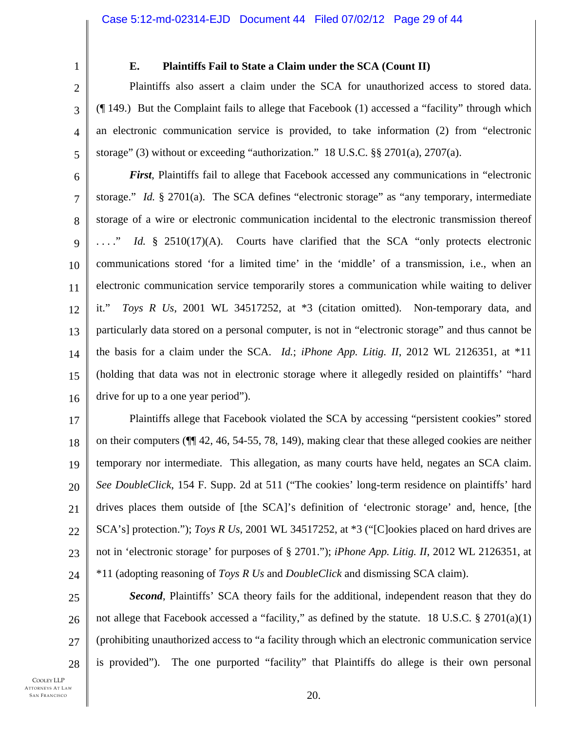1 2

3

4

5

## **E. Plaintiffs Fail to State a Claim under the SCA (Count II)**

Plaintiffs also assert a claim under the SCA for unauthorized access to stored data. (¶ 149.) But the Complaint fails to allege that Facebook (1) accessed a "facility" through which an electronic communication service is provided, to take information (2) from "electronic storage" (3) without or exceeding "authorization." 18 U.S.C.  $\S$  2701(a), 2707(a).

6 7 8 9 10 11 12 13 14 15 16 *First*, Plaintiffs fail to allege that Facebook accessed any communications in "electronic storage." *Id.* § 2701(a). The SCA defines "electronic storage" as "any temporary, intermediate storage of a wire or electronic communication incidental to the electronic transmission thereof . . . ." *Id.* § 2510(17)(A). Courts have clarified that the SCA "only protects electronic communications stored 'for a limited time' in the 'middle' of a transmission, i.e., when an electronic communication service temporarily stores a communication while waiting to deliver it." *Toys R Us*, 2001 WL 34517252, at \*3 (citation omitted). Non-temporary data, and particularly data stored on a personal computer, is not in "electronic storage" and thus cannot be the basis for a claim under the SCA. *Id.*; *iPhone App. Litig. II*, 2012 WL 2126351, at \*11 (holding that data was not in electronic storage where it allegedly resided on plaintiffs' "hard drive for up to a one year period").

17 18 19 20 21 22 23 24 Plaintiffs allege that Facebook violated the SCA by accessing "persistent cookies" stored on their computers (¶¶ 42, 46, 54-55, 78, 149), making clear that these alleged cookies are neither temporary nor intermediate. This allegation, as many courts have held, negates an SCA claim. *See DoubleClick*, 154 F. Supp. 2d at 511 ("The cookies' long-term residence on plaintiffs' hard drives places them outside of [the SCA]'s definition of 'electronic storage' and, hence, [the SCA's] protection."); *Toys R Us*, 2001 WL 34517252, at \*3 ("[C]ookies placed on hard drives are not in 'electronic storage' for purposes of § 2701."); *iPhone App. Litig. II*, 2012 WL 2126351, at \*11 (adopting reasoning of *Toys R Us* and *DoubleClick* and dismissing SCA claim).

25 26 27 28 *Second*, Plaintiffs' SCA theory fails for the additional, independent reason that they do not allege that Facebook accessed a "facility," as defined by the statute. 18 U.S.C.  $\S 2701(a)(1)$ (prohibiting unauthorized access to "a facility through which an electronic communication service is provided"). The one purported "facility" that Plaintiffs do allege is their own personal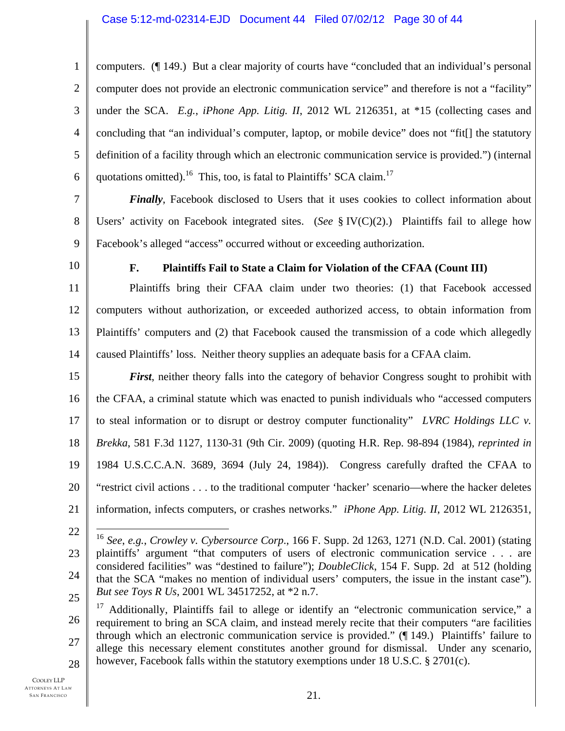#### Case 5:12-md-02314-EJD Document 44 Filed 07/02/12 Page 30 of 44

1 2 3 4 5 6 computers. (¶ 149.) But a clear majority of courts have "concluded that an individual's personal computer does not provide an electronic communication service" and therefore is not a "facility" under the SCA. *E.g.*, *iPhone App. Litig. II*, 2012 WL 2126351, at \*15 (collecting cases and concluding that "an individual's computer, laptop, or mobile device" does not "fit[] the statutory definition of a facility through which an electronic communication service is provided.") (internal quotations omitted).<sup>16</sup> This, too, is fatal to Plaintiffs' SCA claim.<sup>17</sup>

7 8

*Finally*, Facebook disclosed to Users that it uses cookies to collect information about Users' activity on Facebook integrated sites. (*See* § IV(C)(2).) Plaintiffs fail to allege how Facebook's alleged "access" occurred without or exceeding authorization.

10

9

#### **F. Plaintiffs Fail to State a Claim for Violation of the CFAA (Count III)**

11 12 13 14 Plaintiffs bring their CFAA claim under two theories: (1) that Facebook accessed computers without authorization, or exceeded authorized access, to obtain information from Plaintiffs' computers and (2) that Facebook caused the transmission of a code which allegedly caused Plaintiffs' loss. Neither theory supplies an adequate basis for a CFAA claim.

15 16 17 18 19 20 21 *First*, neither theory falls into the category of behavior Congress sought to prohibit with the CFAA, a criminal statute which was enacted to punish individuals who "accessed computers to steal information or to disrupt or destroy computer functionality" *LVRC Holdings LLC v. Brekka*, 581 F.3d 1127, 1130-31 (9th Cir. 2009) (quoting H.R. Rep. 98-894 (1984), *reprinted in*  1984 U.S.C.C.A.N. 3689, 3694 (July 24, 1984)). Congress carefully drafted the CFAA to "restrict civil actions . . . to the traditional computer 'hacker' scenario—where the hacker deletes information, infects computers, or crashes networks." *iPhone App. Litig. II*, 2012 WL 2126351,

<sup>22</sup> 

<sup>23</sup>  24 25 <sup>16</sup> *See*, *e.g.*, *Crowley v. Cybersource Corp*., 166 F. Supp. 2d 1263, 1271 (N.D. Cal. 2001) (stating plaintiffs' argument "that computers of users of electronic communication service . . . are considered facilities" was "destined to failure"); *DoubleClick*, 154 F. Supp. 2d at 512 (holding that the SCA "makes no mention of individual users' computers, the issue in the instant case"). *But see Toys R Us*, 2001 WL 34517252, at \*2 n.7.

<sup>26</sup>  27 28 <sup>17</sup> Additionally, Plaintiffs fail to allege or identify an "electronic communication service," a requirement to bring an SCA claim, and instead merely recite that their computers "are facilities through which an electronic communication service is provided." (¶ 149.) Plaintiffs' failure to allege this necessary element constitutes another ground for dismissal. Under any scenario, however, Facebook falls within the statutory exemptions under 18 U.S.C.  $\S 2701(c)$ .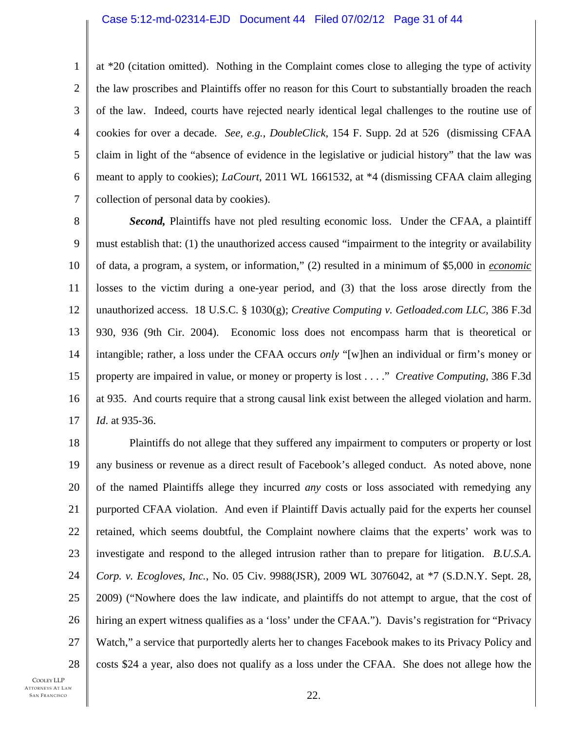#### Case 5:12-md-02314-EJD Document 44 Filed 07/02/12 Page 31 of 44

1 2 3 4 5 6 7 at \*20 (citation omitted). Nothing in the Complaint comes close to alleging the type of activity the law proscribes and Plaintiffs offer no reason for this Court to substantially broaden the reach of the law. Indeed, courts have rejected nearly identical legal challenges to the routine use of cookies for over a decade. *See, e.g.*, *DoubleClick*, 154 F. Supp. 2d at 526 (dismissing CFAA claim in light of the "absence of evidence in the legislative or judicial history" that the law was meant to apply to cookies); *LaCourt*, 2011 WL 1661532, at \*4 (dismissing CFAA claim alleging collection of personal data by cookies).

8 9 10 11 12 13 14 15 16 17 **Second,** Plaintiffs have not pled resulting economic loss. Under the CFAA, a plaintiff must establish that: (1) the unauthorized access caused "impairment to the integrity or availability of data, a program, a system, or information," (2) resulted in a minimum of \$5,000 in *economic* losses to the victim during a one-year period, and (3) that the loss arose directly from the unauthorized access. 18 U.S.C. § 1030(g); *Creative Computing v. Getloaded.com LLC*, 386 F.3d 930, 936 (9th Cir. 2004). Economic loss does not encompass harm that is theoretical or intangible; rather, a loss under the CFAA occurs *only* "[w]hen an individual or firm's money or property are impaired in value, or money or property is lost . . . ." *Creative Computing*, 386 F.3d at 935. And courts require that a strong causal link exist between the alleged violation and harm. *Id*. at 935-36.

18 19 20 21 22 23 24 25 26 27 28 Plaintiffs do not allege that they suffered any impairment to computers or property or lost any business or revenue as a direct result of Facebook's alleged conduct. As noted above, none of the named Plaintiffs allege they incurred *any* costs or loss associated with remedying any purported CFAA violation. And even if Plaintiff Davis actually paid for the experts her counsel retained, which seems doubtful, the Complaint nowhere claims that the experts' work was to investigate and respond to the alleged intrusion rather than to prepare for litigation. *B.U.S.A. Corp. v. Ecogloves, Inc.*, No. 05 Civ. 9988(JSR), 2009 WL 3076042, at \*7 (S.D.N.Y. Sept. 28, 2009) ("Nowhere does the law indicate, and plaintiffs do not attempt to argue, that the cost of hiring an expert witness qualifies as a 'loss' under the CFAA."). Davis's registration for "Privacy Watch," a service that purportedly alerts her to changes Facebook makes to its Privacy Policy and costs \$24 a year, also does not qualify as a loss under the CFAA. She does not allege how the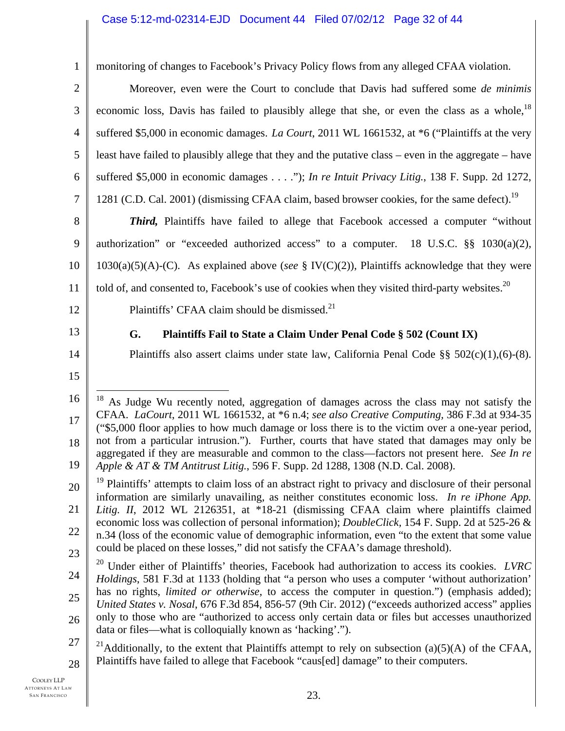monitoring of changes to Facebook's Privacy Policy flows from any alleged CFAA violation.

Moreover, even were the Court to conclude that Davis had suffered some *de minimis* economic loss, Davis has failed to plausibly allege that she, or even the class as a whole.<sup>18</sup> suffered \$5,000 in economic damages. *La Court*, 2011 WL 1661532, at \*6 ("Plaintiffs at the very least have failed to plausibly allege that they and the putative class – even in the aggregate – have suffered \$5,000 in economic damages . . . ."); *In re Intuit Privacy Litig.*, 138 F. Supp. 2d 1272, 1281 (C.D. Cal. 2001) (dismissing CFAA claim, based browser cookies, for the same defect).<sup>19</sup>

8 9 10 11 *Third,* Plaintiffs have failed to allege that Facebook accessed a computer "without authorization" or "exceeded authorized access" to a computer. 18 U.S.C. §§ 1030(a)(2), 1030(a)(5)(A)-(C). As explained above (*see* § IV(C)(2)), Plaintiffs acknowledge that they were told of, and consented to, Facebook's use of cookies when they visited third-party websites.<sup>20</sup>

12

1

2

3

4

5

6

7

13 14 **G. Plaintiffs Fail to State a Claim Under Penal Code § 502 (Count IX)** 

Plaintiffs' CFAA claim should be dismissed.<sup>21</sup>

Plaintiffs also assert claims under state law, California Penal Code §§ 502(c)(1),(6)-(8).

15

<sup>16</sup>  17 18 19  $18$  As Judge Wu recently noted, aggregation of damages across the class may not satisfy the CFAA. *LaCourt*, 2011 WL 1661532, at \*6 n.4; *see also Creative Computing,* 386 F.3d at 934-35 ("\$5,000 floor applies to how much damage or loss there is to the victim over a one-year period, not from a particular intrusion."). Further, courts that have stated that damages may only be aggregated if they are measurable and common to the class—factors not present here. *See In re Apple & AT & TM Antitrust Litig.*, 596 F. Supp. 2d 1288, 1308 (N.D. Cal. 2008).

<sup>20</sup>  21 22 23 <sup>19</sup> Plaintiffs' attempts to claim loss of an abstract right to privacy and disclosure of their personal information are similarly unavailing, as neither constitutes economic loss. *In re iPhone App. Litig. II*, 2012 WL 2126351, at \*18-21 (dismissing CFAA claim where plaintiffs claimed economic loss was collection of personal information); *DoubleClick,* 154 F. Supp. 2d at 525-26 & n.34 (loss of the economic value of demographic information, even "to the extent that some value could be placed on these losses," did not satisfy the CFAA's damage threshold).

<sup>24</sup>  25 26 20 Under either of Plaintiffs' theories, Facebook had authorization to access its cookies. *LVRC Holdings*, 581 F.3d at 1133 (holding that "a person who uses a computer 'without authorization' has no rights, *limited or otherwise*, to access the computer in question.") (emphasis added); *United States v. Nosal*, 676 F.3d 854, 856-57 (9th Cir. 2012) ("exceeds authorized access" applies only to those who are "authorized to access only certain data or files but accesses unauthorized data or files—what is colloquially known as 'hacking'.").

<sup>27</sup>  28 <sup>21</sup>Additionally, to the extent that Plaintiffs attempt to rely on subsection (a)(5)(A) of the CFAA, Plaintiffs have failed to allege that Facebook "caus[ed] damage" to their computers.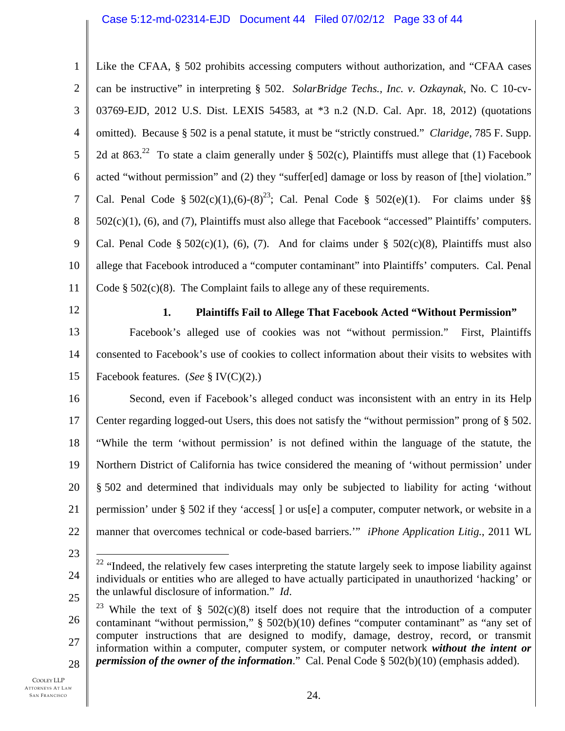#### Case 5:12-md-02314-EJD Document 44 Filed 07/02/12 Page 33 of 44

1 2 3 4 5 6 7 8 9 10 11 Like the CFAA, § 502 prohibits accessing computers without authorization, and "CFAA cases can be instructive" in interpreting § 502. *SolarBridge Techs., Inc. v. Ozkaynak*, No. C 10-cv-03769-EJD, 2012 U.S. Dist. LEXIS 54583, at \*3 n.2 (N.D. Cal. Apr. 18, 2012) (quotations omitted). Because § 502 is a penal statute, it must be "strictly construed." *Claridge*, 785 F. Supp. 2d at 863.<sup>22</sup> To state a claim generally under § 502(c), Plaintiffs must allege that (1) Facebook acted "without permission" and (2) they "suffer[ed] damage or loss by reason of [the] violation." Cal. Penal Code §  $502(c)(1),(6)-(8)^{23}$ ; Cal. Penal Code §  $502(e)(1)$ . For claims under §§ 502(c)(1), (6), and (7), Plaintiffs must also allege that Facebook "accessed" Plaintiffs' computers. Cal. Penal Code §  $502(c)(1)$ , (6), (7). And for claims under §  $502(c)(8)$ , Plaintiffs must also allege that Facebook introduced a "computer contaminant" into Plaintiffs' computers. Cal. Penal Code  $\S$  502(c)(8). The Complaint fails to allege any of these requirements.

12

### **1. Plaintiffs Fail to Allege That Facebook Acted "Without Permission"**

13 14 15 Facebook's alleged use of cookies was not "without permission." First, Plaintiffs consented to Facebook's use of cookies to collect information about their visits to websites with Facebook features. (*See* § IV(C)(2).)

16 17 18 19 20 21 22 Second, even if Facebook's alleged conduct was inconsistent with an entry in its Help Center regarding logged-out Users, this does not satisfy the "without permission" prong of § 502. "While the term 'without permission' is not defined within the language of the statute, the Northern District of California has twice considered the meaning of 'without permission' under § 502 and determined that individuals may only be subjected to liability for acting 'without permission' under § 502 if they 'access[ ] or us[e] a computer, computer network, or website in a manner that overcomes technical or code-based barriers.'" *iPhone Application Litig.*, 2011 WL

23

<sup>24</sup>  25  $22$  "Indeed, the relatively few cases interpreting the statute largely seek to impose liability against individuals or entities who are alleged to have actually participated in unauthorized 'hacking' or the unlawful disclosure of information." *Id*.

<sup>26</sup>  27 28 <sup>23</sup> While the text of § 502(c)(8) itself does not require that the introduction of a computer contaminant "without permission," § 502(b)(10) defines "computer contaminant" as "any set of computer instructions that are designed to modify, damage, destroy, record, or transmit information within a computer, computer system, or computer network *without the intent or permission of the owner of the information*." Cal. Penal Code § 502(b)(10) (emphasis added).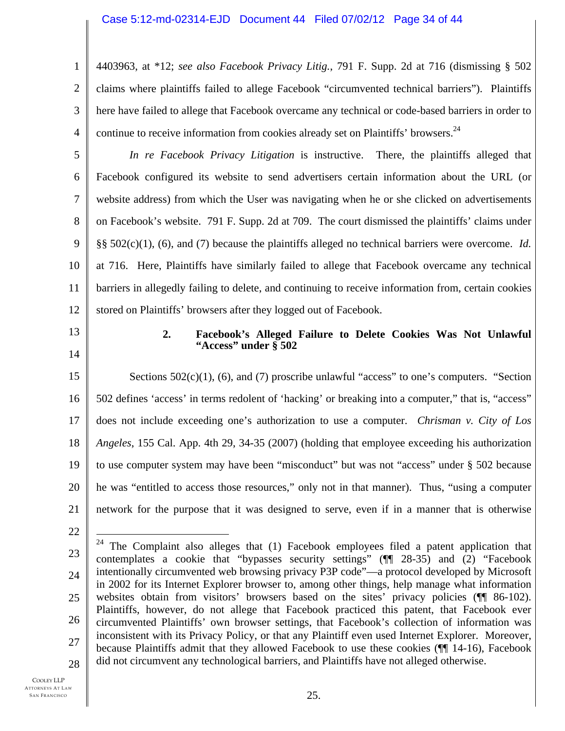#### Case 5:12-md-02314-EJD Document 44 Filed 07/02/12 Page 34 of 44

1 2 3 4 4403963, at \*12; *see also Facebook Privacy Litig.*, 791 F. Supp. 2d at 716 (dismissing § 502 claims where plaintiffs failed to allege Facebook "circumvented technical barriers"). Plaintiffs here have failed to allege that Facebook overcame any technical or code-based barriers in order to continue to receive information from cookies already set on Plaintiffs' browsers.<sup>24</sup>

5 6 7 8 9 10 11 12 *In re Facebook Privacy Litigation* is instructive. There, the plaintiffs alleged that Facebook configured its website to send advertisers certain information about the URL (or website address) from which the User was navigating when he or she clicked on advertisements on Facebook's website. 791 F. Supp. 2d at 709. The court dismissed the plaintiffs' claims under §§ 502(c)(1), (6), and (7) because the plaintiffs alleged no technical barriers were overcome. *Id.* at 716. Here, Plaintiffs have similarly failed to allege that Facebook overcame any technical barriers in allegedly failing to delete, and continuing to receive information from, certain cookies stored on Plaintiffs' browsers after they logged out of Facebook.

13

14

#### **2. Facebook's Alleged Failure to Delete Cookies Was Not Unlawful "Access" under § 502**

15 16 17 18 19 20 21 Sections  $502(c)(1)$ , (6), and (7) proscribe unlawful "access" to one's computers. "Section 502 defines 'access' in terms redolent of 'hacking' or breaking into a computer," that is, "access" does not include exceeding one's authorization to use a computer. *Chrisman v. City of Los Angeles*, 155 Cal. App. 4th 29, 34-35 (2007) (holding that employee exceeding his authorization to use computer system may have been "misconduct" but was not "access" under § 502 because he was "entitled to access those resources," only not in that manner). Thus, "using a computer network for the purpose that it was designed to serve, even if in a manner that is otherwise

22

<sup>23</sup>  24 25 26 27 28  $24$  The Complaint also alleges that (1) Facebook employees filed a patent application that contemplates a cookie that "bypasses security settings" (¶¶ 28-35) and (2) "Facebook intentionally circumvented web browsing privacy P3P code"—a protocol developed by Microsoft in 2002 for its Internet Explorer browser to, among other things, help manage what information websites obtain from visitors' browsers based on the sites' privacy policies ( $\P$  86-102). Plaintiffs, however, do not allege that Facebook practiced this patent, that Facebook ever circumvented Plaintiffs' own browser settings, that Facebook's collection of information was inconsistent with its Privacy Policy, or that any Plaintiff even used Internet Explorer. Moreover, because Plaintiffs admit that they allowed Facebook to use these cookies (¶¶ 14-16), Facebook did not circumvent any technological barriers, and Plaintiffs have not alleged otherwise.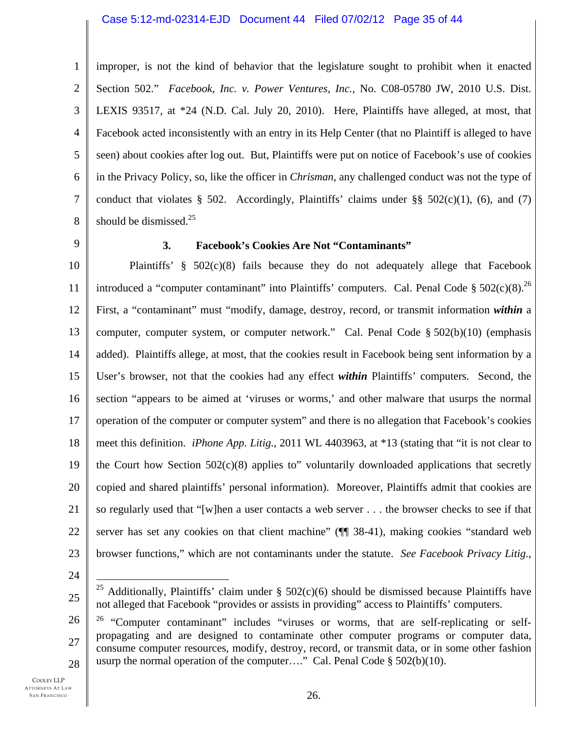#### Case 5:12-md-02314-EJD Document 44 Filed 07/02/12 Page 35 of 44

1 2 3 4 5 6 7 8 improper, is not the kind of behavior that the legislature sought to prohibit when it enacted Section 502." *Facebook, Inc. v. Power Ventures, Inc.*, No. C08-05780 JW, 2010 U.S. Dist. LEXIS 93517, at \*24 (N.D. Cal. July 20, 2010). Here, Plaintiffs have alleged, at most, that Facebook acted inconsistently with an entry in its Help Center (that no Plaintiff is alleged to have seen) about cookies after log out. But, Plaintiffs were put on notice of Facebook's use of cookies in the Privacy Policy, so, like the officer in *Chrisman*, any challenged conduct was not the type of conduct that violates § 502. Accordingly, Plaintiffs' claims under §§ 502(c)(1), (6), and (7) should be dismissed. $25$ 

9

#### **3. Facebook's Cookies Are Not "Contaminants"**

10 11 12 13 14 15 16 17 18 19 20 21 22 23 Plaintiffs' § 502(c)(8) fails because they do not adequately allege that Facebook introduced a "computer contaminant" into Plaintiffs' computers. Cal. Penal Code §  $502(c)(8)$ .<sup>26</sup> First, a "contaminant" must "modify, damage, destroy, record, or transmit information *within* a computer, computer system, or computer network." Cal. Penal Code § 502(b)(10) (emphasis added). Plaintiffs allege, at most, that the cookies result in Facebook being sent information by a User's browser, not that the cookies had any effect *within* Plaintiffs' computers. Second, the section "appears to be aimed at 'viruses or worms,' and other malware that usurps the normal operation of the computer or computer system" and there is no allegation that Facebook's cookies meet this definition. *iPhone App. Litig.*, 2011 WL 4403963, at \*13 (stating that "it is not clear to the Court how Section  $502(c)(8)$  applies to" voluntarily downloaded applications that secretly copied and shared plaintiffs' personal information). Moreover, Plaintiffs admit that cookies are so regularly used that "[w]hen a user contacts a web server . . . the browser checks to see if that server has set any cookies on that client machine" (¶¶ 38-41), making cookies "standard web browser functions," which are not contaminants under the statute. *See Facebook Privacy Litig.*,

24

 $\overline{a}$ 

25

<sup>&</sup>lt;sup>25</sup> Additionally, Plaintiffs' claim under § 502(c)(6) should be dismissed because Plaintiffs have not alleged that Facebook "provides or assists in providing" access to Plaintiffs' computers.

<sup>26</sup>  27 28 <sup>26</sup> "Computer contaminant" includes "viruses or worms, that are self-replicating or selfpropagating and are designed to contaminate other computer programs or computer data, consume computer resources, modify, destroy, record, or transmit data, or in some other fashion usurp the normal operation of the computer...." Cal. Penal Code  $\S 502(b)(10)$ .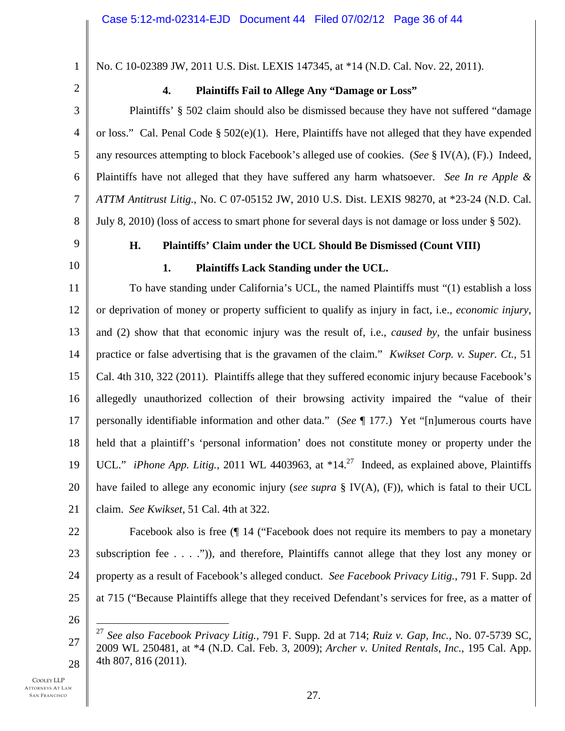No. C 10-02389 JW, 2011 U.S. Dist. LEXIS 147345, at \*14 (N.D. Cal. Nov. 22, 2011).

2

4

5

6

7

8

1

### **4. Plaintiffs Fail to Allege Any "Damage or Loss"**

3 Plaintiffs' § 502 claim should also be dismissed because they have not suffered "damage or loss." Cal. Penal Code  $\S 502(e)(1)$ . Here, Plaintiffs have not alleged that they have expended any resources attempting to block Facebook's alleged use of cookies. (*See* § IV(A), (F).) Indeed, Plaintiffs have not alleged that they have suffered any harm whatsoever. *See In re Apple & ATTM Antitrust Litig.*, No. C 07-05152 JW, 2010 U.S. Dist. LEXIS 98270, at \*23-24 (N.D. Cal. July 8, 2010) (loss of access to smart phone for several days is not damage or loss under § 502).

- 9
- 10

## **H. Plaintiffs' Claim under the UCL Should Be Dismissed (Count VIII)**

### **1. Plaintiffs Lack Standing under the UCL.**

11 12 13 14 15 16 17 18 19 20 21 To have standing under California's UCL, the named Plaintiffs must "(1) establish a loss or deprivation of money or property sufficient to qualify as injury in fact, i.e., *economic injury*, and (2) show that that economic injury was the result of, i.e., *caused by*, the unfair business practice or false advertising that is the gravamen of the claim." *Kwikset Corp. v. Super. Ct.*, 51 Cal. 4th 310, 322 (2011). Plaintiffs allege that they suffered economic injury because Facebook's allegedly unauthorized collection of their browsing activity impaired the "value of their personally identifiable information and other data." (*See* ¶ 177.) Yet "[n]umerous courts have held that a plaintiff's 'personal information' does not constitute money or property under the UCL." *iPhone App. Litig.*, 2011 WL 4403963, at \*14.<sup>27</sup> Indeed, as explained above, Plaintiffs have failed to allege any economic injury (*see supra* § IV(A), (F)), which is fatal to their UCL claim. *See Kwikset*, 51 Cal. 4th at 322.

22

23 24 25 Facebook also is free (¶ 14 ("Facebook does not require its members to pay a monetary subscription fee . . . .")), and therefore, Plaintiffs cannot allege that they lost any money or property as a result of Facebook's alleged conduct. *See Facebook Privacy Litig.*, 791 F. Supp. 2d at 715 ("Because Plaintiffs allege that they received Defendant's services for free, as a matter of

26

<sup>27</sup>  28 <sup>27</sup> *See also Facebook Privacy Litig.*, 791 F. Supp. 2d at 714; *Ruiz v. Gap, Inc.*, No. 07-5739 SC, 2009 WL 250481, at \*4 (N.D. Cal. Feb. 3, 2009); *Archer v. United Rentals, Inc.*, 195 Cal. App. 4th 807, 816 (2011).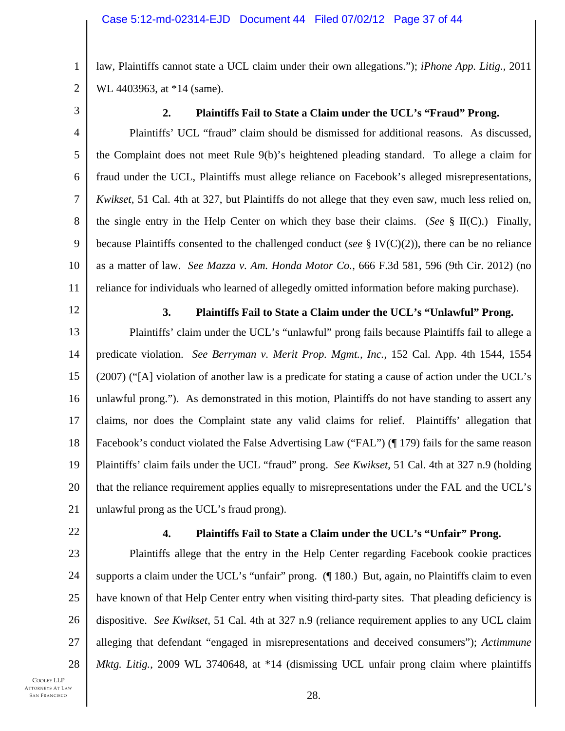1 2 law, Plaintiffs cannot state a UCL claim under their own allegations."); *iPhone App. Litig.*, 2011 WL 4403963, at \*14 (same).

3

## **2. Plaintiffs Fail to State a Claim under the UCL's "Fraud" Prong.**

4 5 6 7 8 9 10 11 Plaintiffs' UCL "fraud" claim should be dismissed for additional reasons. As discussed, the Complaint does not meet Rule 9(b)'s heightened pleading standard. To allege a claim for fraud under the UCL, Plaintiffs must allege reliance on Facebook's alleged misrepresentations, *Kwikset*, 51 Cal. 4th at 327, but Plaintiffs do not allege that they even saw, much less relied on, the single entry in the Help Center on which they base their claims. (*See* § II(C).) Finally, because Plaintiffs consented to the challenged conduct (*see* § IV(C)(2)), there can be no reliance as a matter of law. *See Mazza v. Am. Honda Motor Co.*, 666 F.3d 581, 596 (9th Cir. 2012) (no reliance for individuals who learned of allegedly omitted information before making purchase).

12

### **3. Plaintiffs Fail to State a Claim under the UCL's "Unlawful" Prong.**

13 14 15 16 17 18 19 20 21 Plaintiffs' claim under the UCL's "unlawful" prong fails because Plaintiffs fail to allege a predicate violation. *See Berryman v. Merit Prop. Mgmt., Inc.*, 152 Cal. App. 4th 1544, 1554 (2007) ("[A] violation of another law is a predicate for stating a cause of action under the UCL's unlawful prong."). As demonstrated in this motion, Plaintiffs do not have standing to assert any claims, nor does the Complaint state any valid claims for relief. Plaintiffs' allegation that Facebook's conduct violated the False Advertising Law ("FAL") (¶ 179) fails for the same reason Plaintiffs' claim fails under the UCL "fraud" prong. *See Kwikset*, 51 Cal. 4th at 327 n.9 (holding that the reliance requirement applies equally to misrepresentations under the FAL and the UCL's unlawful prong as the UCL's fraud prong).

22

#### **4. Plaintiffs Fail to State a Claim under the UCL's "Unfair" Prong.**

23 24 25 26 27 28 Plaintiffs allege that the entry in the Help Center regarding Facebook cookie practices supports a claim under the UCL's "unfair" prong. (¶ 180.) But, again, no Plaintiffs claim to even have known of that Help Center entry when visiting third-party sites. That pleading deficiency is dispositive. *See Kwikset*, 51 Cal. 4th at 327 n.9 (reliance requirement applies to any UCL claim alleging that defendant "engaged in misrepresentations and deceived consumers"); *Actimmune Mktg. Litig.*, 2009 WL 3740648, at \*14 (dismissing UCL unfair prong claim where plaintiffs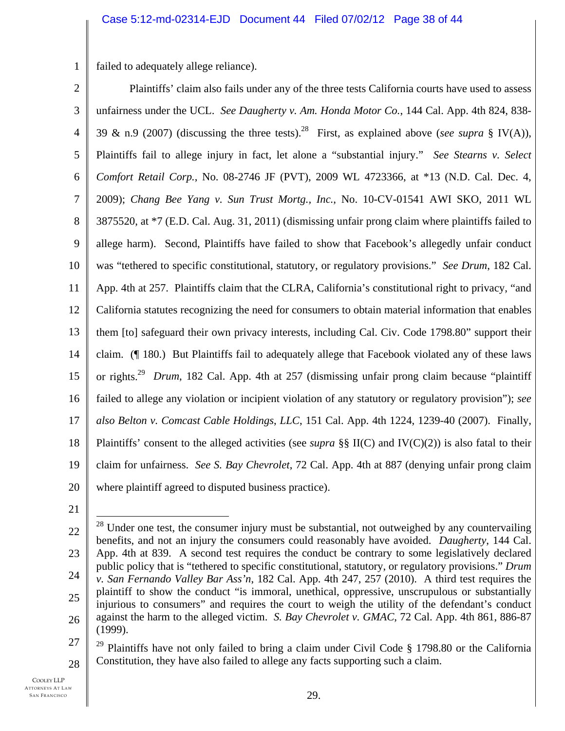1 failed to adequately allege reliance).

2 3 4 5 6 7 8 9 10 11 12 13 14 15 16 17 18 19 20 Plaintiffs' claim also fails under any of the three tests California courts have used to assess unfairness under the UCL. *See Daugherty v. Am. Honda Motor Co.*, 144 Cal. App. 4th 824, 838- 39 & n.9 (2007) (discussing the three tests).<sup>28</sup> First, as explained above (*see supra* § IV(A)), Plaintiffs fail to allege injury in fact, let alone a "substantial injury." *See Stearns v. Select Comfort Retail Corp.*, No. 08-2746 JF (PVT), 2009 WL 4723366, at \*13 (N.D. Cal. Dec. 4, 2009); *Chang Bee Yang v. Sun Trust Mortg., Inc.*, No. 10-CV-01541 AWI SKO, 2011 WL 3875520, at \*7 (E.D. Cal. Aug. 31, 2011) (dismissing unfair prong claim where plaintiffs failed to allege harm). Second, Plaintiffs have failed to show that Facebook's allegedly unfair conduct was "tethered to specific constitutional, statutory, or regulatory provisions." *See Drum*, 182 Cal. App. 4th at 257. Plaintiffs claim that the CLRA, California's constitutional right to privacy, "and California statutes recognizing the need for consumers to obtain material information that enables them [to] safeguard their own privacy interests, including Cal. Civ. Code 1798.80" support their claim. (¶ 180.) But Plaintiffs fail to adequately allege that Facebook violated any of these laws or rights.29 *Drum*, 182 Cal. App. 4th at 257 (dismissing unfair prong claim because "plaintiff failed to allege any violation or incipient violation of any statutory or regulatory provision"); *see also Belton v. Comcast Cable Holdings*, *LLC*, 151 Cal. App. 4th 1224, 1239-40 (2007). Finally, Plaintiffs' consent to the alleged activities (see *supra* §§ II(C) and IV(C)(2)) is also fatal to their claim for unfairness. *See S. Bay Chevrolet*, 72 Cal. App. 4th at 887 (denying unfair prong claim where plaintiff agreed to disputed business practice).

21

 $\overline{a}$ 

29.

<sup>22</sup>  23 24 25 26  $28$  Under one test, the consumer injury must be substantial, not outweighed by any countervailing benefits, and not an injury the consumers could reasonably have avoided. *Daugherty*, 144 Cal. App. 4th at 839. A second test requires the conduct be contrary to some legislatively declared public policy that is "tethered to specific constitutional, statutory, or regulatory provisions." *Drum v. San Fernando Valley Bar Ass'n*, 182 Cal. App. 4th 247, 257 (2010). A third test requires the plaintiff to show the conduct "is immoral, unethical, oppressive, unscrupulous or substantially injurious to consumers" and requires the court to weigh the utility of the defendant's conduct against the harm to the alleged victim. *S. Bay Chevrolet v. GMAC*, 72 Cal. App. 4th 861, 886-87 (1999).

<sup>27</sup>  28 <sup>29</sup> Plaintiffs have not only failed to bring a claim under Civil Code  $\S$  1798.80 or the California Constitution, they have also failed to allege any facts supporting such a claim.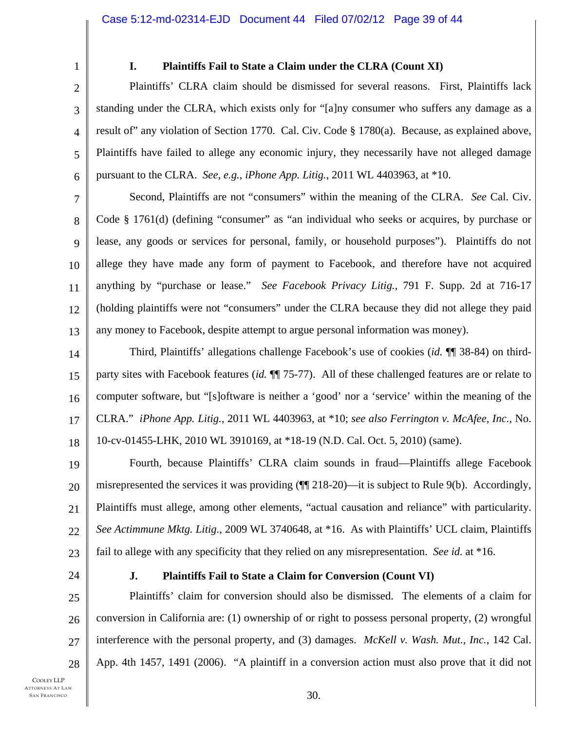1 2

3

4

5

6

## **I. Plaintiffs Fail to State a Claim under the CLRA (Count XI)**

Plaintiffs' CLRA claim should be dismissed for several reasons. First, Plaintiffs lack standing under the CLRA, which exists only for "[a]ny consumer who suffers any damage as a result of" any violation of Section 1770. Cal. Civ. Code § 1780(a). Because, as explained above, Plaintiffs have failed to allege any economic injury, they necessarily have not alleged damage pursuant to the CLRA. *See, e.g.*, *iPhone App. Litig.*, 2011 WL 4403963, at \*10.

7 8 9 10 11 12 13 Second, Plaintiffs are not "consumers" within the meaning of the CLRA. *See* Cal. Civ. Code § 1761(d) (defining "consumer" as "an individual who seeks or acquires, by purchase or lease, any goods or services for personal, family, or household purposes"). Plaintiffs do not allege they have made any form of payment to Facebook, and therefore have not acquired anything by "purchase or lease." *See Facebook Privacy Litig.*, 791 F. Supp. 2d at 716-17 (holding plaintiffs were not "consumers" under the CLRA because they did not allege they paid any money to Facebook, despite attempt to argue personal information was money).

14 15 16 17 18 Third, Plaintiffs' allegations challenge Facebook's use of cookies (*id.* ¶¶ 38-84) on thirdparty sites with Facebook features (*id.* ¶¶ 75-77). All of these challenged features are or relate to computer software, but "[s]oftware is neither a 'good' nor a 'service' within the meaning of the CLRA." *iPhone App. Litig.*, 2011 WL 4403963, at \*10; *see also Ferrington v. McAfee, Inc.*, No. 10-cv-01455-LHK, 2010 WL 3910169, at \*18-19 (N.D. Cal. Oct. 5, 2010) (same).

19 20 21 22 23 Fourth, because Plaintiffs' CLRA claim sounds in fraud—Plaintiffs allege Facebook misrepresented the services it was providing (¶¶ 218-20)—it is subject to Rule 9(b). Accordingly, Plaintiffs must allege, among other elements, "actual causation and reliance" with particularity. *See Actimmune Mktg. Litig.*, 2009 WL 3740648, at \*16. As with Plaintiffs' UCL claim, Plaintiffs fail to allege with any specificity that they relied on any misrepresentation. *See id.* at \*16.

24

## **J. Plaintiffs Fail to State a Claim for Conversion (Count VI)**

25 26 27 28 Plaintiffs' claim for conversion should also be dismissed. The elements of a claim for conversion in California are: (1) ownership of or right to possess personal property, (2) wrongful interference with the personal property, and (3) damages. *McKell v. Wash. Mut., Inc.*, 142 Cal. App. 4th 1457, 1491 (2006). "A plaintiff in a conversion action must also prove that it did not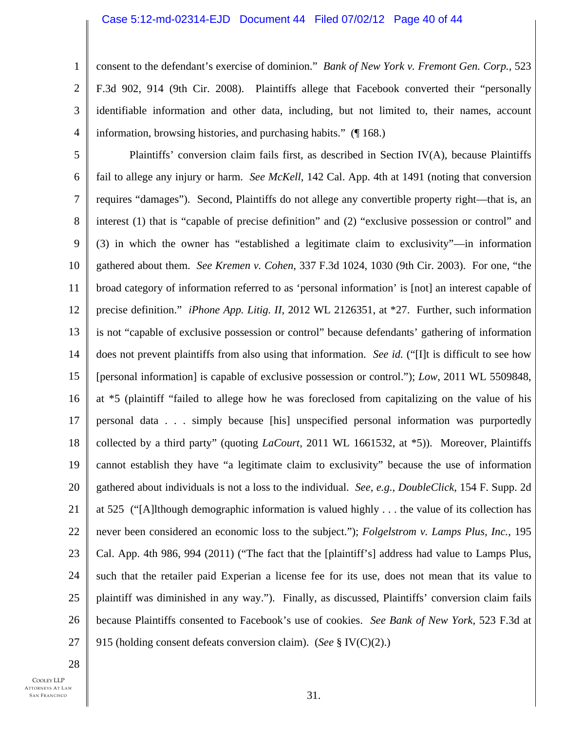#### Case 5:12-md-02314-EJD Document 44 Filed 07/02/12 Page 40 of 44

consent to the defendant's exercise of dominion." *Bank of New York v. Fremont Gen. Corp.*, 523 F.3d 902, 914 (9th Cir. 2008). Plaintiffs allege that Facebook converted their "personally identifiable information and other data, including, but not limited to, their names, account information, browsing histories, and purchasing habits." (¶ 168.)

5 6 7 8 9 10 11 12 13 14 15 16 17 18 19 20 21 22 23 24 25 26 27 Plaintiffs' conversion claim fails first, as described in Section IV(A), because Plaintiffs fail to allege any injury or harm. *See McKell*, 142 Cal. App. 4th at 1491 (noting that conversion requires "damages"). Second, Plaintiffs do not allege any convertible property right—that is, an interest (1) that is "capable of precise definition" and (2) "exclusive possession or control" and (3) in which the owner has "established a legitimate claim to exclusivity"—in information gathered about them. *See Kremen v. Cohen*, 337 F.3d 1024, 1030 (9th Cir. 2003). For one, "the broad category of information referred to as 'personal information' is [not] an interest capable of precise definition." *iPhone App. Litig. II*, 2012 WL 2126351, at \*27. Further, such information is not "capable of exclusive possession or control" because defendants' gathering of information does not prevent plaintiffs from also using that information. *See id.* ("[I]t is difficult to see how [personal information] is capable of exclusive possession or control."); *Low*, 2011 WL 5509848, at \*5 (plaintiff "failed to allege how he was foreclosed from capitalizing on the value of his personal data . . . simply because [his] unspecified personal information was purportedly collected by a third party" (quoting *LaCourt*, 2011 WL 1661532, at \*5)). Moreover, Plaintiffs cannot establish they have "a legitimate claim to exclusivity" because the use of information gathered about individuals is not a loss to the individual. *See, e.g.*, *DoubleClick*, 154 F. Supp. 2d at 525 ("[A]lthough demographic information is valued highly . . . the value of its collection has never been considered an economic loss to the subject."); *Folgelstrom v. Lamps Plus, Inc.*, 195 Cal. App. 4th 986, 994 (2011) ("The fact that the [plaintiff's] address had value to Lamps Plus, such that the retailer paid Experian a license fee for its use, does not mean that its value to plaintiff was diminished in any way."). Finally, as discussed, Plaintiffs' conversion claim fails because Plaintiffs consented to Facebook's use of cookies. *See Bank of New York*, 523 F.3d at 915 (holding consent defeats conversion claim). (*See* § IV(C)(2).)

28

1

2

3

4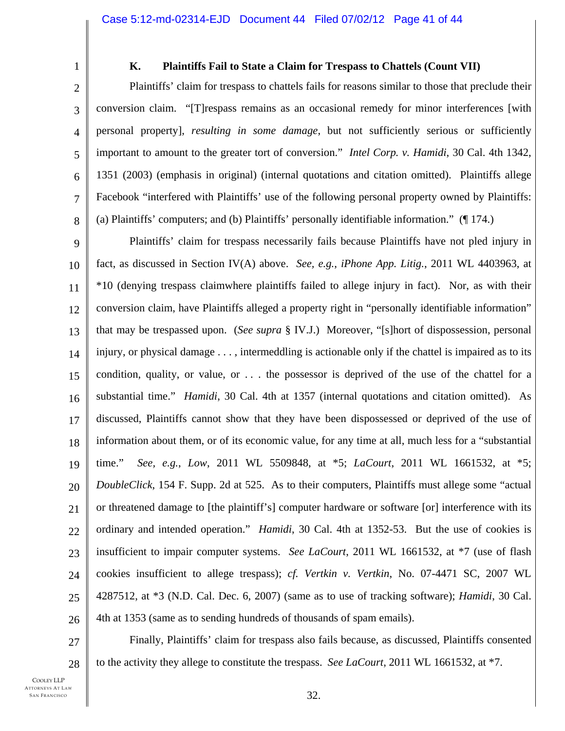1

2

3

4

5

6

7

8

## **K. Plaintiffs Fail to State a Claim for Trespass to Chattels (Count VII)**

Plaintiffs' claim for trespass to chattels fails for reasons similar to those that preclude their conversion claim. "[T]respass remains as an occasional remedy for minor interferences [with personal property], *resulting in some damage*, but not sufficiently serious or sufficiently important to amount to the greater tort of conversion." *Intel Corp. v. Hamidi*, 30 Cal. 4th 1342, 1351 (2003) (emphasis in original) (internal quotations and citation omitted). Plaintiffs allege Facebook "interfered with Plaintiffs' use of the following personal property owned by Plaintiffs: (a) Plaintiffs' computers; and (b) Plaintiffs' personally identifiable information." (¶ 174.)

9 10 11 12 13 14 15 16 17 18 19 20 21 22 23 24 25 26 Plaintiffs' claim for trespass necessarily fails because Plaintiffs have not pled injury in fact, as discussed in Section IV(A) above. *See, e.g.*, *iPhone App. Litig.*, 2011 WL 4403963, at \*10 (denying trespass claimwhere plaintiffs failed to allege injury in fact). Nor, as with their conversion claim, have Plaintiffs alleged a property right in "personally identifiable information" that may be trespassed upon. (*See supra* § IV.J.) Moreover, "[s]hort of dispossession, personal injury, or physical damage . . . , intermeddling is actionable only if the chattel is impaired as to its condition, quality, or value, or  $\dots$  the possessor is deprived of the use of the chattel for a substantial time." *Hamidi*, 30 Cal. 4th at 1357 (internal quotations and citation omitted). As discussed, Plaintiffs cannot show that they have been dispossessed or deprived of the use of information about them, or of its economic value, for any time at all, much less for a "substantial time." *See, e.g.*, *Low*, 2011 WL 5509848, at \*5; *LaCourt*, 2011 WL 1661532, at \*5; *DoubleClick*, 154 F. Supp. 2d at 525. As to their computers, Plaintiffs must allege some "actual or threatened damage to [the plaintiff's] computer hardware or software [or] interference with its ordinary and intended operation." *Hamidi*, 30 Cal. 4th at 1352-53. But the use of cookies is insufficient to impair computer systems. *See LaCourt*, 2011 WL 1661532, at \*7 (use of flash cookies insufficient to allege trespass); *cf. Vertkin v. Vertkin*, No. 07-4471 SC, 2007 WL 4287512, at \*3 (N.D. Cal. Dec. 6, 2007) (same as to use of tracking software); *Hamidi*, 30 Cal. 4th at 1353 (same as to sending hundreds of thousands of spam emails).

27 28 Finally, Plaintiffs' claim for trespass also fails because, as discussed, Plaintiffs consented to the activity they allege to constitute the trespass. *See LaCourt*, 2011 WL 1661532, at \*7.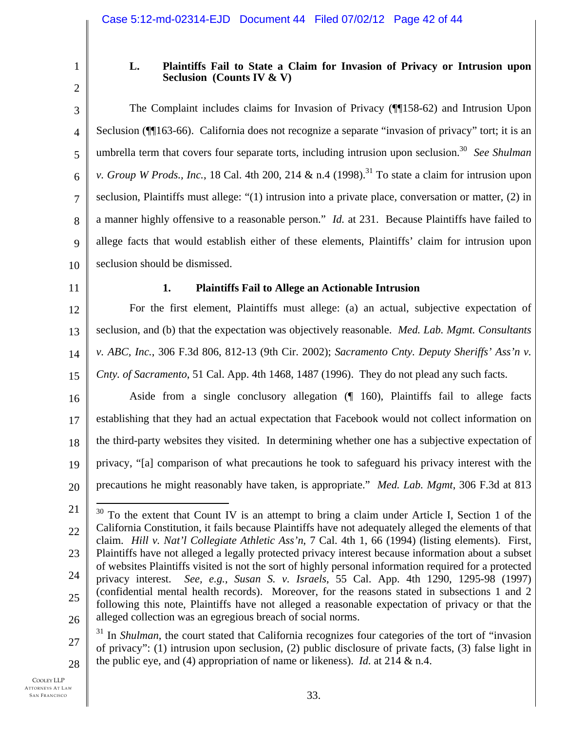1 2

## **L. Plaintiffs Fail to State a Claim for Invasion of Privacy or Intrusion upon Seclusion (Counts IV & V)**

3 4 5 6 7 8 9 10 The Complaint includes claims for Invasion of Privacy (¶¶158-62) and Intrusion Upon Seclusion (¶[163-66). California does not recognize a separate "invasion of privacy" tort; it is an umbrella term that covers four separate torts, including intrusion upon seclusion.<sup>30</sup> *See Shulman v. Group W Prods., Inc.,* 18 Cal. 4th 200, 214 & n.4 (1998).<sup>31</sup> To state a claim for intrusion upon seclusion, Plaintiffs must allege: "(1) intrusion into a private place, conversation or matter, (2) in a manner highly offensive to a reasonable person." *Id.* at 231. Because Plaintiffs have failed to allege facts that would establish either of these elements, Plaintiffs' claim for intrusion upon seclusion should be dismissed.

11

## **1. Plaintiffs Fail to Allege an Actionable Intrusion**

12 13 14 15 For the first element, Plaintiffs must allege: (a) an actual, subjective expectation of seclusion, and (b) that the expectation was objectively reasonable. *Med. Lab. Mgmt. Consultants v. ABC, Inc.*, 306 F.3d 806, 812-13 (9th Cir. 2002); *Sacramento Cnty. Deputy Sheriffs' Ass'n v. Cnty. of Sacramento*, 51 Cal. App. 4th 1468, 1487 (1996). They do not plead any such facts.

16

17 18 19 20 Aside from a single conclusory allegation (¶ 160), Plaintiffs fail to allege facts establishing that they had an actual expectation that Facebook would not collect information on the third-party websites they visited. In determining whether one has a subjective expectation of privacy, "[a] comparison of what precautions he took to safeguard his privacy interest with the precautions he might reasonably have taken, is appropriate." *Med. Lab. Mgmt*, 306 F.3d at 813

21

<sup>22</sup>  23 24 25 26  $30$  To the extent that Count IV is an attempt to bring a claim under Article I, Section 1 of the California Constitution, it fails because Plaintiffs have not adequately alleged the elements of that claim. *Hill v. Nat'l Collegiate Athletic Ass'n*, 7 Cal. 4th 1, 66 (1994) (listing elements). First, Plaintiffs have not alleged a legally protected privacy interest because information about a subset of websites Plaintiffs visited is not the sort of highly personal information required for a protected privacy interest. *See, e.g.*, *Susan S. v. Israels*, 55 Cal. App. 4th 1290, 1295-98 (1997) (confidential mental health records). Moreover, for the reasons stated in subsections 1 and 2 following this note, Plaintiffs have not alleged a reasonable expectation of privacy or that the alleged collection was an egregious breach of social norms.

<sup>27</sup>  28 <sup>31</sup> In *Shulman*, the court stated that California recognizes four categories of the tort of "invasion" of privacy": (1) intrusion upon seclusion, (2) public disclosure of private facts, (3) false light in the public eye, and (4) appropriation of name or likeness). *Id.* at 214 & n.4.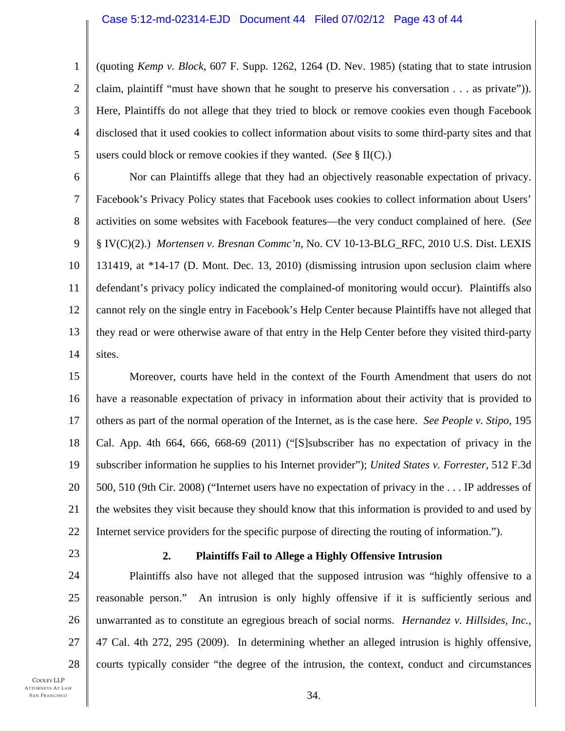1 2 3 4 5 (quoting *Kemp v. Block*, 607 F. Supp. 1262, 1264 (D. Nev. 1985) (stating that to state intrusion claim, plaintiff "must have shown that he sought to preserve his conversation . . . as private")). Here, Plaintiffs do not allege that they tried to block or remove cookies even though Facebook disclosed that it used cookies to collect information about visits to some third-party sites and that users could block or remove cookies if they wanted. (*See* § II(C).)

6 7 8 9 10 11 12 13 14 Nor can Plaintiffs allege that they had an objectively reasonable expectation of privacy. Facebook's Privacy Policy states that Facebook uses cookies to collect information about Users' activities on some websites with Facebook features—the very conduct complained of here. (*See* § IV(C)(2).) *Mortensen v. Bresnan Commc'n*, No. CV 10-13-BLG\_RFC*,* 2010 U.S. Dist. LEXIS 131419, at \*14-17 (D. Mont. Dec. 13, 2010) (dismissing intrusion upon seclusion claim where defendant's privacy policy indicated the complained-of monitoring would occur). Plaintiffs also cannot rely on the single entry in Facebook's Help Center because Plaintiffs have not alleged that they read or were otherwise aware of that entry in the Help Center before they visited third-party sites.

15 16 17 18 19 20 21 22 Moreover, courts have held in the context of the Fourth Amendment that users do not have a reasonable expectation of privacy in information about their activity that is provided to others as part of the normal operation of the Internet, as is the case here. *See People v. Stipo*, 195 Cal. App. 4th 664, 666, 668-69 (2011) ("[S]subscriber has no expectation of privacy in the subscriber information he supplies to his Internet provider"); *United States v. Forrester*, 512 F.3d 500, 510 (9th Cir. 2008) ("Internet users have no expectation of privacy in the . . . IP addresses of the websites they visit because they should know that this information is provided to and used by Internet service providers for the specific purpose of directing the routing of information.").

23

## **2. Plaintiffs Fail to Allege a Highly Offensive Intrusion**

24 25 26 27 28 Plaintiffs also have not alleged that the supposed intrusion was "highly offensive to a reasonable person." An intrusion is only highly offensive if it is sufficiently serious and unwarranted as to constitute an egregious breach of social norms. *Hernandez v. Hillsides, Inc.*, 47 Cal. 4th 272, 295 (2009). In determining whether an alleged intrusion is highly offensive, courts typically consider "the degree of the intrusion, the context, conduct and circumstances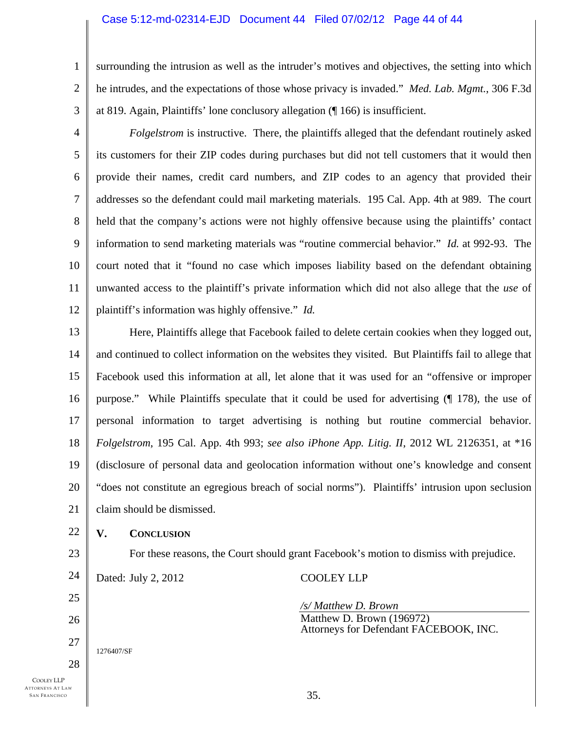#### Case 5:12-md-02314-EJD Document 44 Filed 07/02/12 Page 44 of 44

surrounding the intrusion as well as the intruder's motives and objectives, the setting into which he intrudes, and the expectations of those whose privacy is invaded." *Med. Lab. Mgmt.*, 306 F.3d at 819. Again, Plaintiffs' lone conclusory allegation (¶ 166) is insufficient.

3

1

2

4 5 6 7 8 9 10 11 12 *Folgelstrom* is instructive. There, the plaintiffs alleged that the defendant routinely asked its customers for their ZIP codes during purchases but did not tell customers that it would then provide their names, credit card numbers, and ZIP codes to an agency that provided their addresses so the defendant could mail marketing materials. 195 Cal. App. 4th at 989. The court held that the company's actions were not highly offensive because using the plaintiffs' contact information to send marketing materials was "routine commercial behavior." *Id.* at 992-93. The court noted that it "found no case which imposes liability based on the defendant obtaining unwanted access to the plaintiff's private information which did not also allege that the *use* of plaintiff's information was highly offensive." *Id.*

13 14 15 16 17 18 19 20 21 Here, Plaintiffs allege that Facebook failed to delete certain cookies when they logged out, and continued to collect information on the websites they visited. But Plaintiffs fail to allege that Facebook used this information at all, let alone that it was used for an "offensive or improper purpose." While Plaintiffs speculate that it could be used for advertising (¶ 178), the use of personal information to target advertising is nothing but routine commercial behavior. *Folgelstrom*, 195 Cal. App. 4th 993; *see also iPhone App. Litig. II*, 2012 WL 2126351, at \*16 (disclosure of personal data and geolocation information without one's knowledge and consent "does not constitute an egregious breach of social norms"). Plaintiffs' intrusion upon seclusion claim should be dismissed.

22

#### **V. CONCLUSION**

23 24 25 26 27 For these reasons, the Court should grant Facebook's motion to dismiss with prejudice. Dated: July 2, 2012 COOLEY LLP */s/ Matthew D. Brown*  Matthew D. Brown (196972) Attorneys for Defendant FACEBOOK, INC. 1276407/SF

COOLEY LLP ATTORNEYS AT LAW SAN FRANCISCO

28

35.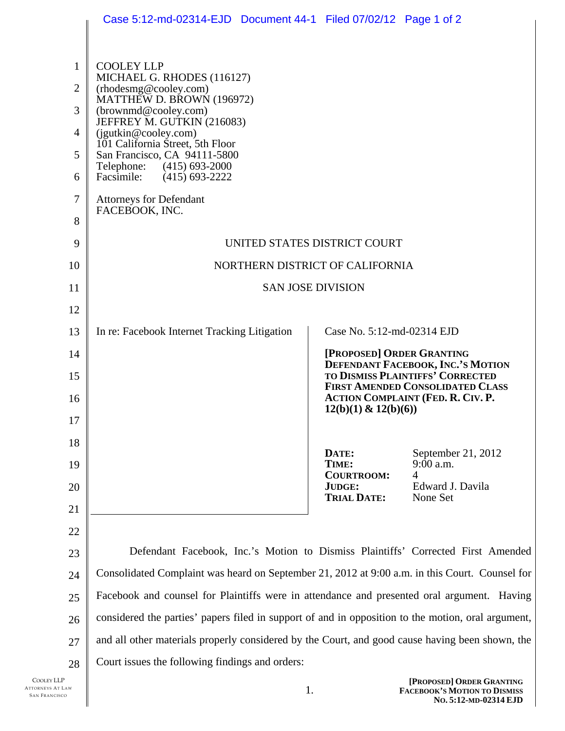|              | Case 5:12-md-02314-EJD  Document 44-1  Filed 07/02/12  Page 1 of 2                                 |                                    |                                                                                    |
|--------------|----------------------------------------------------------------------------------------------------|------------------------------------|------------------------------------------------------------------------------------|
|              |                                                                                                    |                                    |                                                                                    |
| $\mathbf{1}$ | <b>COOLEY LLP</b>                                                                                  |                                    |                                                                                    |
| 2            | MICHAEL G. RHODES (116127)<br>(rhodesmg@cooley.com)                                                |                                    |                                                                                    |
| 3            | MATTHEW D. BROWN (196972)<br>(brownmd@cooley.com)                                                  |                                    |                                                                                    |
| 4            | JEFFREY M. GUTKIN (216083)<br>(jgutkin@cooley.com)                                                 |                                    |                                                                                    |
| 5            | 101 California Street, 5th Floor<br>San Francisco, CA 94111-5800                                   |                                    |                                                                                    |
| 6            | Telephone: (415) 693-2000<br>Facsimile:<br>$(415)$ 693-2222                                        |                                    |                                                                                    |
| 7            | <b>Attorneys for Defendant</b><br>FACEBOOK, INC.                                                   |                                    |                                                                                    |
| 8            |                                                                                                    |                                    |                                                                                    |
| 9            |                                                                                                    | UNITED STATES DISTRICT COURT       |                                                                                    |
| 10           | NORTHERN DISTRICT OF CALIFORNIA                                                                    |                                    |                                                                                    |
| 11           |                                                                                                    | <b>SAN JOSE DIVISION</b>           |                                                                                    |
| 12           |                                                                                                    |                                    |                                                                                    |
| 13           | In re: Facebook Internet Tracking Litigation                                                       | Case No. 5:12-md-02314 EJD         |                                                                                    |
| 14           |                                                                                                    | [PROPOSED] ORDER GRANTING          | DEFENDANT FACEBOOK, INC.'S MOTION                                                  |
| 15           |                                                                                                    |                                    | <b>TO DISMISS PLAINTIFFS' CORRECTED</b><br><b>FIRST AMENDED CONSOLIDATED CLASS</b> |
| 16           |                                                                                                    | $12(b)(1)$ & $12(b)(6)$            | <b>ACTION COMPLAINT (FED. R. CIV. P.</b>                                           |
| 17           |                                                                                                    |                                    |                                                                                    |
| 18<br>19     |                                                                                                    | DATE:<br>TIME:                     | September 21, 2012<br>9:00 a.m.                                                    |
| 20           |                                                                                                    | <b>COURTROOM:</b><br><b>JUDGE:</b> | 4<br>Edward J. Davila                                                              |
| 21           |                                                                                                    | <b>TRIAL DATE:</b>                 | None Set                                                                           |
| 22           |                                                                                                    |                                    |                                                                                    |
| 23           | Defendant Facebook, Inc.'s Motion to Dismiss Plaintiffs' Corrected First Amended                   |                                    |                                                                                    |
| 24           | Consolidated Complaint was heard on September 21, 2012 at 9:00 a.m. in this Court. Counsel for     |                                    |                                                                                    |
| 25           | Facebook and counsel for Plaintiffs were in attendance and presented oral argument. Having         |                                    |                                                                                    |
| 26           | considered the parties' papers filed in support of and in opposition to the motion, oral argument, |                                    |                                                                                    |
| 27           | and all other materials properly considered by the Court, and good cause having been shown, the    |                                    |                                                                                    |
| 28           | Court issues the following findings and orders:                                                    |                                    |                                                                                    |
|              |                                                                                                    |                                    |                                                                                    |

I